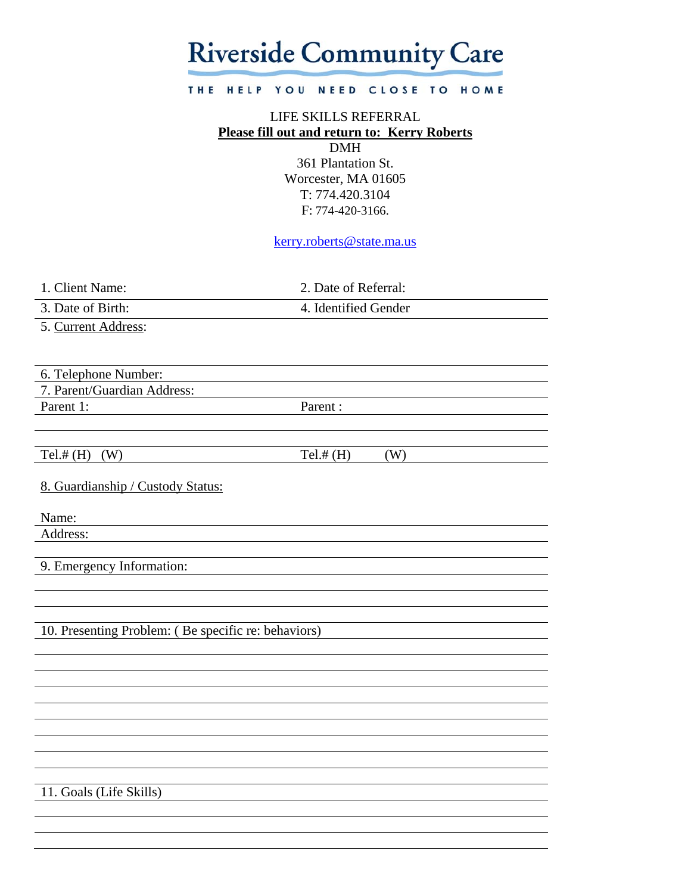# **Riverside Community Care**

#### THE HELP YOU NEED CLOSE TO HOME

# LIFE SKILLS REFERRAL **Please fill out and return to: Kerry Roberts**  DMH

361 Plantation St. Worcester, MA 01605 T: 774.420.3104 F: 774-420-3166.

kerry.roberts@state.ma.us

1. Client Name: 2. Date of Referral:

3. Date of Birth: 4. Identified Gender

5. Current Address:

6. Telephone Number:

7. Parent/Guardian Address: Parent 1: Parent :

Tel.# (H) (W)  $Tel.$   $H$  (H) (W)

8. Guardianship / Custody Status:

Name:

Address:

9. Emergency Information:

10. Presenting Problem: ( Be specific re: behaviors)

11. Goals (Life Skills)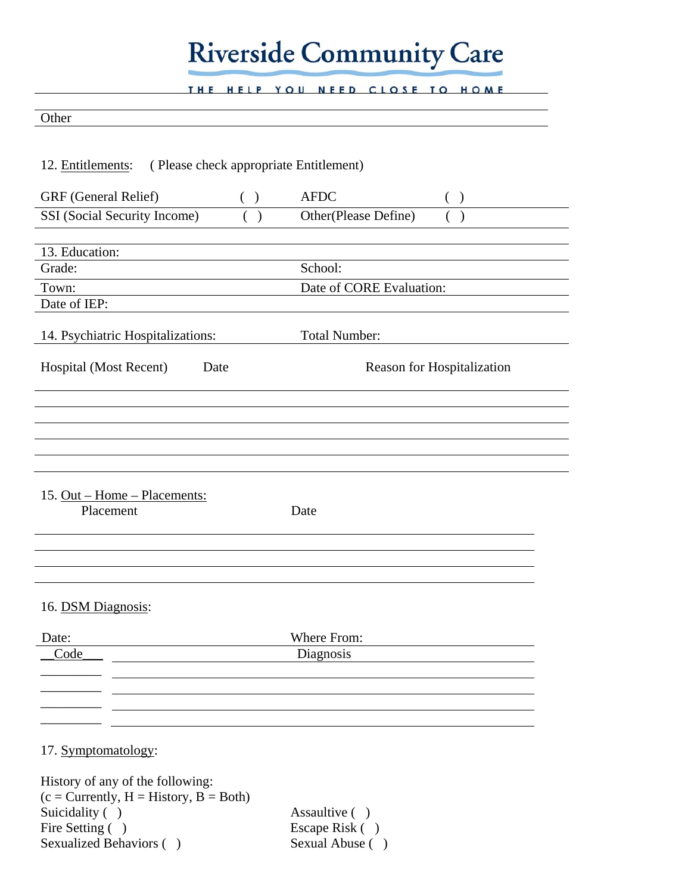# **Riverside Community Care**

THE HELP YOU NEED CLOSE TO HOME

| Other                                                       |     |                          |                            |
|-------------------------------------------------------------|-----|--------------------------|----------------------------|
|                                                             |     |                          |                            |
| (Please check appropriate Entitlement)<br>12. Entitlements: |     |                          |                            |
|                                                             |     |                          |                            |
| GRF (General Relief)                                        | ( ) | <b>AFDC</b>              | ( )                        |
| SSI (Social Security Income)                                |     | Other(Please Define)     |                            |
|                                                             |     |                          |                            |
| 13. Education:                                              |     |                          |                            |
| Grade:                                                      |     | School:                  |                            |
| Town:<br>Date of IEP:                                       |     | Date of CORE Evaluation: |                            |
|                                                             |     |                          |                            |
| 14. Psychiatric Hospitalizations:                           |     | Total Number:            |                            |
| Hospital (Most Recent)<br>Date                              |     |                          | Reason for Hospitalization |
|                                                             |     |                          |                            |
|                                                             |     |                          |                            |
|                                                             |     |                          |                            |
|                                                             |     |                          |                            |
|                                                             |     |                          |                            |
|                                                             |     |                          |                            |
| 15. Out – Home – Placements:                                |     |                          |                            |
| Placement                                                   |     | Date                     |                            |
|                                                             |     |                          |                            |
|                                                             |     |                          |                            |
|                                                             |     |                          |                            |
| 16. DSM Diagnosis:                                          |     |                          |                            |
|                                                             |     |                          |                            |
| Date:                                                       |     | Where From:              |                            |
| Code                                                        |     | Diagnosis                |                            |
|                                                             |     |                          |                            |
|                                                             |     |                          |                            |
|                                                             |     |                          |                            |
|                                                             |     |                          |                            |

# 17. Symptomatology:

History of any of the following:  $(c = Currently, H = History, B = Both)$ Suicidality ( )<br>
Fire Setting ( ) <br>
Fire Setting ( ) <br>
Assaultive ( )<br>
Escape Risk ( Sexualized Behaviors ()

Escape Risk ( )<br>Sexual Abuse ( )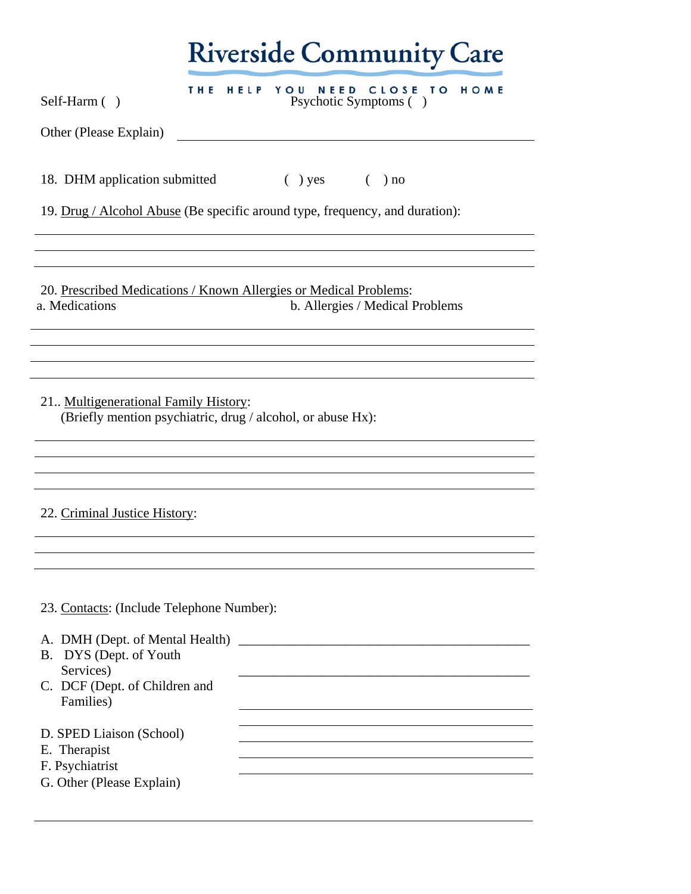| Self-Harm ()                                                                                                                                                                                                               | THE HELP YOU NEED CLOSE TO HOME<br>Psychotic Symptoms ()                                                                                                                                                                      |
|----------------------------------------------------------------------------------------------------------------------------------------------------------------------------------------------------------------------------|-------------------------------------------------------------------------------------------------------------------------------------------------------------------------------------------------------------------------------|
| Other (Please Explain)                                                                                                                                                                                                     |                                                                                                                                                                                                                               |
|                                                                                                                                                                                                                            | 18. DHM application submitted (b) yes (c) no                                                                                                                                                                                  |
|                                                                                                                                                                                                                            | 19. Drug / Alcohol Abuse (Be specific around type, frequency, and duration):                                                                                                                                                  |
|                                                                                                                                                                                                                            |                                                                                                                                                                                                                               |
|                                                                                                                                                                                                                            |                                                                                                                                                                                                                               |
|                                                                                                                                                                                                                            | 20. Prescribed Medications / Known Allergies or Medical Problems:                                                                                                                                                             |
| a. Medications                                                                                                                                                                                                             | b. Allergies / Medical Problems                                                                                                                                                                                               |
|                                                                                                                                                                                                                            |                                                                                                                                                                                                                               |
|                                                                                                                                                                                                                            |                                                                                                                                                                                                                               |
|                                                                                                                                                                                                                            |                                                                                                                                                                                                                               |
|                                                                                                                                                                                                                            |                                                                                                                                                                                                                               |
|                                                                                                                                                                                                                            | (Briefly mention psychiatric, drug / alcohol, or abuse Hx):                                                                                                                                                                   |
|                                                                                                                                                                                                                            |                                                                                                                                                                                                                               |
|                                                                                                                                                                                                                            |                                                                                                                                                                                                                               |
|                                                                                                                                                                                                                            |                                                                                                                                                                                                                               |
|                                                                                                                                                                                                                            |                                                                                                                                                                                                                               |
|                                                                                                                                                                                                                            |                                                                                                                                                                                                                               |
|                                                                                                                                                                                                                            |                                                                                                                                                                                                                               |
|                                                                                                                                                                                                                            |                                                                                                                                                                                                                               |
|                                                                                                                                                                                                                            |                                                                                                                                                                                                                               |
|                                                                                                                                                                                                                            |                                                                                                                                                                                                                               |
|                                                                                                                                                                                                                            |                                                                                                                                                                                                                               |
| Services)                                                                                                                                                                                                                  | the control of the control of the control of the control of the control of the control of the control of the control of the control of the control of the control of the control of the control of the control of the control |
| Families)                                                                                                                                                                                                                  |                                                                                                                                                                                                                               |
|                                                                                                                                                                                                                            |                                                                                                                                                                                                                               |
| 21. Multigenerational Family History:<br>22. Criminal Justice History:<br>23. Contacts: (Include Telephone Number):<br>B. DYS (Dept. of Youth<br>C. DCF (Dept. of Children and<br>D. SPED Liaison (School)<br>E. Therapist |                                                                                                                                                                                                                               |
| F. Psychiatrist                                                                                                                                                                                                            |                                                                                                                                                                                                                               |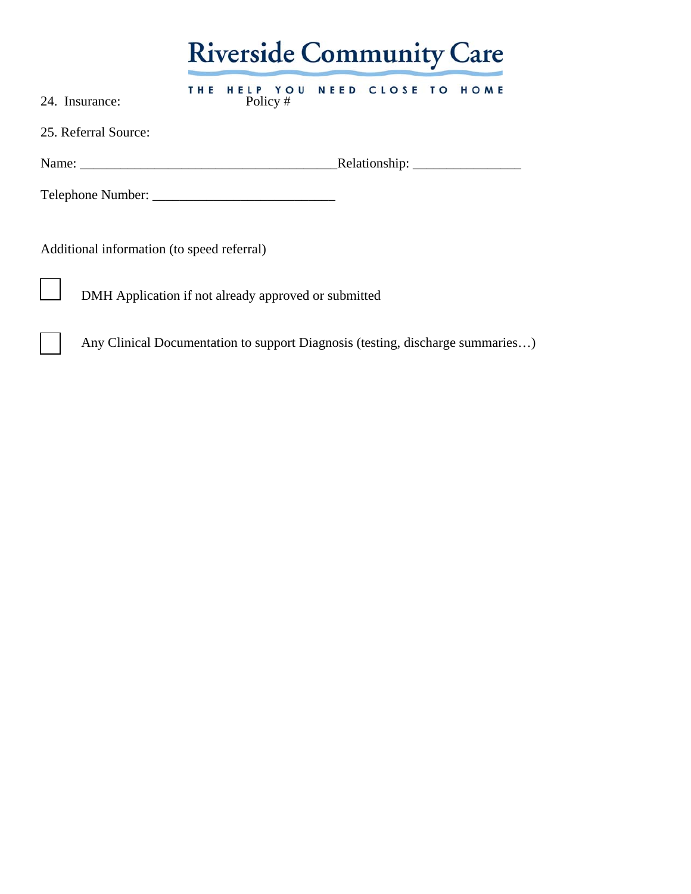|                                                                                                                                                                                                                                |     | <b>Riverside Community Care</b>    |  |  |  |      |  |  |  |
|--------------------------------------------------------------------------------------------------------------------------------------------------------------------------------------------------------------------------------|-----|------------------------------------|--|--|--|------|--|--|--|
| 24. Insurance:                                                                                                                                                                                                                 | THE | HELP YOU NEED CLOSE TO<br>Policy # |  |  |  | HOME |  |  |  |
| 25. Referral Source:                                                                                                                                                                                                           |     |                                    |  |  |  |      |  |  |  |
| Name: Name and the state of the state of the state of the state of the state of the state of the state of the state of the state of the state of the state of the state of the state of the state of the state of the state of |     |                                    |  |  |  |      |  |  |  |
|                                                                                                                                                                                                                                |     |                                    |  |  |  |      |  |  |  |
| Additional information (to speed referral)                                                                                                                                                                                     |     |                                    |  |  |  |      |  |  |  |
| DMH Application if not already approved or submitted                                                                                                                                                                           |     |                                    |  |  |  |      |  |  |  |

Any Clinical Documentation to support Diagnosis (testing, discharge summaries...)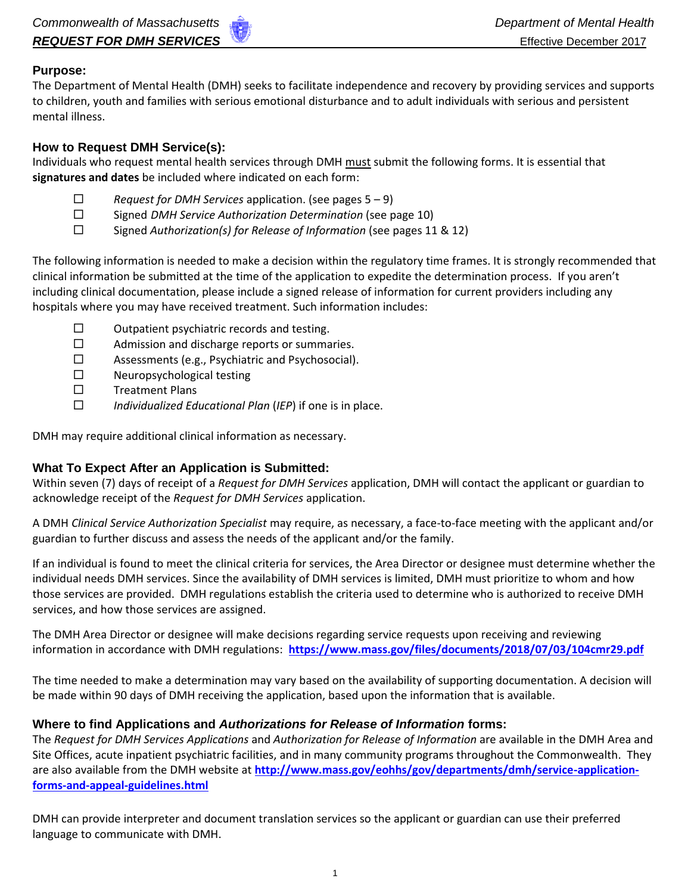### **Purpose:**

The Department of Mental Health (DMH) seeks to facilitate independence and recovery by providing services and supports to children, youth and families with serious emotional disturbance and to adult individuals with serious and persistent mental illness.

### **How to Request DMH Service(s):**

Individuals who request mental health services through DMH must submit the following forms. It is essential that **signatures and dates** be included where indicated on each form:

- *Request for DMH Services* application. (see pages 5 9)
- Signed *DMH Service Authorization Determination* (see page 10)
- Signed *Authorization(s) for Release of Information* (see pages 11 & 12)

The following information is needed to make a decision within the regulatory time frames. It is strongly recommended that clinical information be submitted at the time of the application to expedite the determination process. If you aren't including clinical documentation, please include a signed release of information for current providers including any hospitals where you may have received treatment. Such information includes:

- $\square$  Outpatient psychiatric records and testing.
- $\square$  Admission and discharge reports or summaries.
- Assessments (e.g., Psychiatric and Psychosocial).
- $\square$  Neuropsychological testing
- $\square$  Treatment Plans
- *Individualized Educational Plan* (*IEP*) if one is in place.

DMH may require additional clinical information as necessary.

# **What To Expect After an Application is Submitted:**

Within seven (7) days of receipt of a *Request for DMH Services* application, DMH will contact the applicant or guardian to acknowledge receipt of the *Request for DMH Services* application.

A DMH *Clinical Service Authorization Specialist* may require, as necessary, a face-to-face meeting with the applicant and/or guardian to further discuss and assess the needs of the applicant and/or the family.

If an individual is found to meet the clinical criteria for services, the Area Director or designee must determine whether the individual needs DMH services. Since the availability of DMH services is limited, DMH must prioritize to whom and how those services are provided. DMH regulations establish the criteria used to determine who is authorized to receive DMH services, and how those services are assigned.

The DMH Area Director or designee will make decisions regarding service requests upon receiving and reviewing information in accordance with DMH regulations: **https://www.mass.gov/files/documents/2018/07/03/104cmr29.pdf**

The time needed to make a determination may vary based on the availability of supporting documentation. A decision will be made within 90 days of DMH receiving the application, based upon the information that is available.

# **Where to find Applications and** *Authorizations for Release of Information* **forms:**

The *Request for DMH Services Applications* and *Authorization for Release of Information* are available in the DMH Area and Site Offices, acute inpatient psychiatric facilities, and in many community programs throughout the Commonwealth. They are also available from the DMH website at **http://www.mass.gov/eohhs/gov/departments/dmh/service-applicationforms-and-appeal-guidelines.html**

DMH can provide interpreter and document translation services so the applicant or guardian can use their preferred language to communicate with DMH.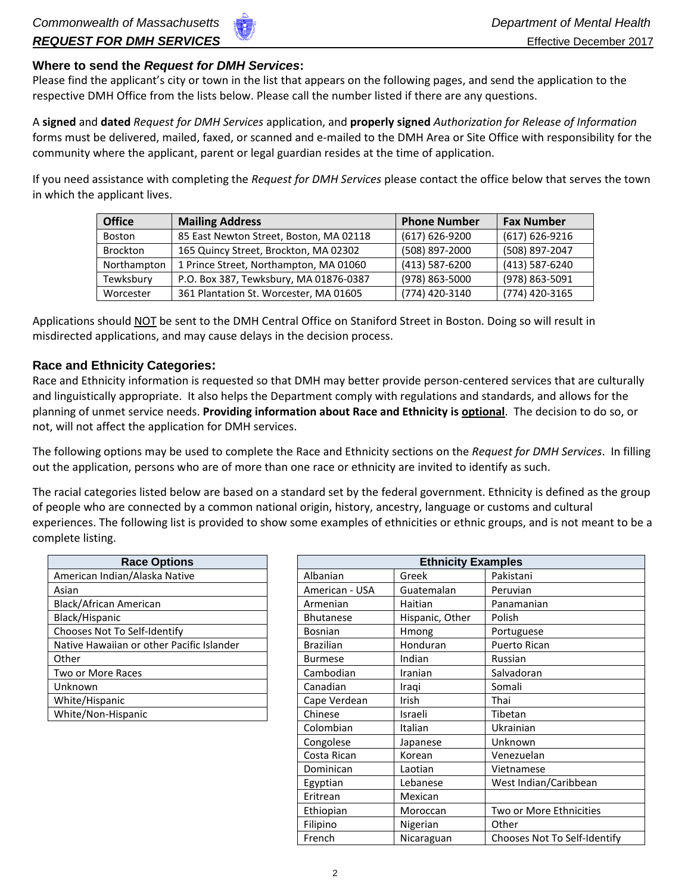### **Where to send the** *Request for DMH Services***:**

Please find the applicant's city or town in the list that appears on the following pages, and send the application to the respective DMH Office from the lists below. Please call the number listed if there are any questions.

A **signed** and **dated** *Request for DMH Services* application, and **properly signed** *Authorization for Release of Information* forms must be delivered, mailed, faxed, or scanned and e-mailed to the DMH Area or Site Office with responsibility for the community where the applicant, parent or legal guardian resides at the time of application.

If you need assistance with completing the *Request for DMH Services* please contact the office below that serves the town in which the applicant lives.

| <b>Office</b>   | <b>Mailing Address</b>                  | <b>Phone Number</b> | <b>Fax Number</b> |
|-----------------|-----------------------------------------|---------------------|-------------------|
| <b>Boston</b>   | 85 East Newton Street, Boston, MA 02118 | $(617) 626 - 9200$  | (617) 626-9216    |
| <b>Brockton</b> | 165 Quincy Street, Brockton, MA 02302   | (508) 897-2000      | (508) 897-2047    |
| Northampton     | 1 Prince Street, Northampton, MA 01060  | (413) 587-6200      | (413) 587-6240    |
| Tewksbury       | P.O. Box 387, Tewksbury, MA 01876-0387  | (978) 863-5000      | (978) 863-5091    |
| Worcester       | 361 Plantation St. Worcester, MA 01605  | (774) 420-3140      | (774) 420-3165    |

Applications should NOT be sent to the DMH Central Office on Staniford Street in Boston. Doing so will result in misdirected applications, and may cause delays in the decision process.

#### **Race and Ethnicity Categories:**

Race and Ethnicity information is requested so that DMH may better provide person-centered services that are culturally and linguistically appropriate. It also helps the Department comply with regulations and standards, and allows for the planning of unmet service needs. **Providing information about Race and Ethnicity is optional**. The decision to do so, or not, will not affect the application for DMH services.

The following options may be used to complete the Race and Ethnicity sections on the *Request for DMH Services*. In filling out the application, persons who are of more than one race or ethnicity are invited to identify as such.

The racial categories listed below are based on a standard set by the federal government. Ethnicity is defined as the group of people who are connected by a common national origin, history, ancestry, language or customs and cultural experiences. The following list is provided to show some examples of ethnicities or ethnic groups, and is not meant to be a complete listing.

| <b>Race Options</b>                       |  |                  | <b>Ethnicity Example</b> |             |
|-------------------------------------------|--|------------------|--------------------------|-------------|
| American Indian/Alaska Native             |  | Albanian         | Greek                    | Paki        |
| Asian                                     |  | American - USA   | Guatemalan               | Peru        |
| Black/African American                    |  | Armenian         | Haitian                  | Pana        |
| Black/Hispanic                            |  | <b>Bhutanese</b> | Hispanic, Other          | Polis       |
| Chooses Not To Self-Identify              |  | <b>Bosnian</b>   | <b>Hmong</b>             | Port        |
| Native Hawaiian or other Pacific Islander |  | <b>Brazilian</b> | Honduran                 | Puer        |
| Other                                     |  | <b>Burmese</b>   | Indian                   | <b>Russ</b> |
| Two or More Races                         |  | Cambodian        | Iranian                  | Salv        |
| Unknown                                   |  | Canadian         | Iragi                    | Som         |
| White/Hispanic                            |  | Cape Verdean     | Irish                    | Thai        |
| White/Non-Hispanic                        |  | Chinese          | Israeli                  | Tibe        |

| <b>Race Options</b>                       | <b>Ethnicity Examples</b> |                 |                              |  |  |  |
|-------------------------------------------|---------------------------|-----------------|------------------------------|--|--|--|
| American Indian/Alaska Native             | Albanian                  | Greek           | Pakistani                    |  |  |  |
| Asian                                     | American - USA            | Guatemalan      | Peruvian                     |  |  |  |
| Black/African American                    | Armenian                  | Haitian         | Panamanian                   |  |  |  |
| Black/Hispanic                            | <b>Bhutanese</b>          | Hispanic, Other | Polish                       |  |  |  |
| Chooses Not To Self-Identify              | <b>Bosnian</b>            | Hmong           | Portuguese                   |  |  |  |
| Native Hawaiian or other Pacific Islander | <b>Brazilian</b>          | <b>Honduran</b> | Puerto Rican                 |  |  |  |
| Other                                     | <b>Burmese</b>            | Indian          | Russian                      |  |  |  |
| Two or More Races                         | Cambodian                 | Iranian         | Salvadoran                   |  |  |  |
| Unknown                                   | Canadian                  | Iraqi           | Somali                       |  |  |  |
| White/Hispanic                            | Cape Verdean              | <b>Irish</b>    | Thai                         |  |  |  |
| White/Non-Hispanic                        | Chinese                   | Israeli         | Tibetan                      |  |  |  |
|                                           | Colombian                 | Italian         | Ukrainian                    |  |  |  |
|                                           | Congolese                 | Japanese        | Unknown                      |  |  |  |
|                                           | Costa Rican               | Korean          | Venezuelan                   |  |  |  |
|                                           | Dominican                 | Laotian         | Vietnamese                   |  |  |  |
|                                           | Egyptian                  | Lebanese        | West Indian/Caribbean        |  |  |  |
|                                           | Eritrean                  | Mexican         |                              |  |  |  |
|                                           | Ethiopian                 | Moroccan        | Two or More Ethnicities      |  |  |  |
|                                           | Filipino                  | Nigerian        | Other                        |  |  |  |
|                                           | French                    | Nicaraguan      | Chooses Not To Self-Identify |  |  |  |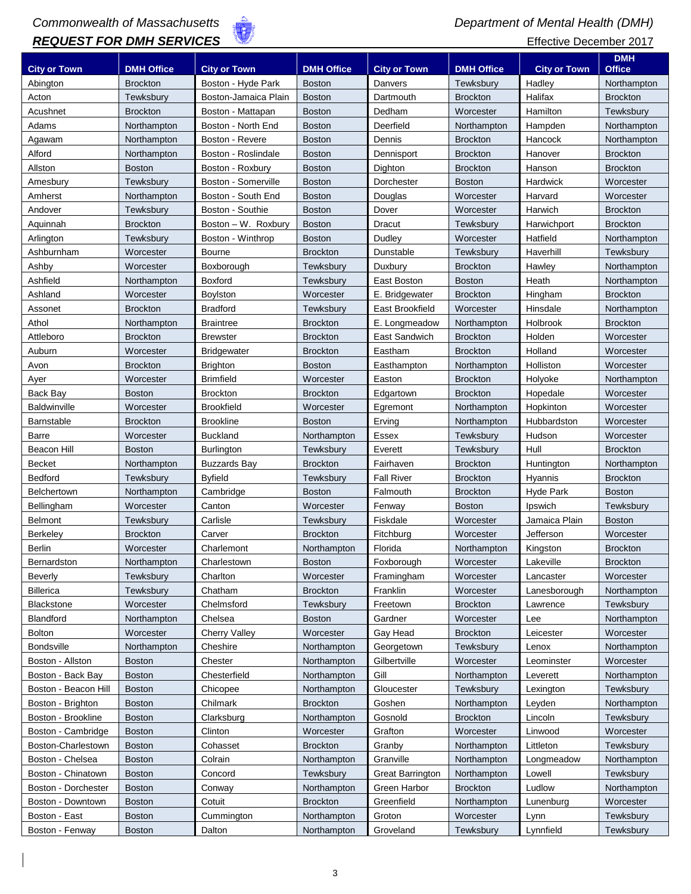# *Commonwealth of Massachusetts Department of Mental Health (DMH)* **REQUEST FOR DMH SERVICES Effective December 2017**

|                      |                   |                      |                   |                     |                   |                     | <b>DMH</b>      |
|----------------------|-------------------|----------------------|-------------------|---------------------|-------------------|---------------------|-----------------|
| <b>City or Town</b>  | <b>DMH Office</b> | <b>City or Town</b>  | <b>DMH Office</b> | <b>City or Town</b> | <b>DMH Office</b> | <b>City or Town</b> | <b>Office</b>   |
| Abington             | <b>Brockton</b>   | Boston - Hyde Park   | <b>Boston</b>     | Danvers             | Tewksbury         | Hadley              | Northampton     |
| Acton                | Tewksbury         | Boston-Jamaica Plain | <b>Boston</b>     | Dartmouth           | <b>Brockton</b>   | Halifax             | <b>Brockton</b> |
| Acushnet             | <b>Brockton</b>   | Boston - Mattapan    | <b>Boston</b>     | Dedham              | Worcester         | Hamilton            | Tewksbury       |
| Adams                | Northampton       | Boston - North End   | <b>Boston</b>     | Deerfield           | Northampton       | Hampden             | Northampton     |
| Agawam               | Northampton       | Boston - Revere      | <b>Boston</b>     | Dennis              | <b>Brockton</b>   | Hancock             | Northampton     |
| Alford               | Northampton       | Boston - Roslindale  | <b>Boston</b>     | Dennisport          | <b>Brockton</b>   | Hanover             | <b>Brockton</b> |
| Allston              | <b>Boston</b>     | Boston - Roxbury     | <b>Boston</b>     | Dighton             | <b>Brockton</b>   | Hanson              | <b>Brockton</b> |
| Amesbury             | Tewksbury         | Boston - Somerville  | <b>Boston</b>     | Dorchester          | <b>Boston</b>     | Hardwick            | Worcester       |
| Amherst              | Northampton       | Boston - South End   | <b>Boston</b>     | Douglas             | Worcester         | Harvard             | Worcester       |
| Andover              | Tewksbury         | Boston - Southie     | <b>Boston</b>     | Dover               | Worcester         | Harwich             | <b>Brockton</b> |
| Aquinnah             | <b>Brockton</b>   | Boston - W. Roxbury  | <b>Boston</b>     | Dracut              | Tewksbury         | Harwichport         | <b>Brockton</b> |
| Arlington            | Tewksbury         | Boston - Winthrop    | <b>Boston</b>     | Dudley              | Worcester         | Hatfield            | Northampton     |
| Ashburnham           | Worcester         | Bourne               | <b>Brockton</b>   | Dunstable           | Tewksbury         | Haverhill           | Tewksbury       |
| Ashby                | Worcester         | Boxborough           | Tewksbury         | Duxbury             | <b>Brockton</b>   | Hawley              | Northampton     |
| Ashfield             | Northampton       | Boxford              | Tewksbury         | East Boston         | <b>Boston</b>     | Heath               | Northampton     |
| Ashland              | Worcester         | Boylston             | Worcester         | E. Bridgewater      | <b>Brockton</b>   | Hingham             | <b>Brockton</b> |
| Assonet              | <b>Brockton</b>   | <b>Bradford</b>      | Tewksbury         | East Brookfield     | Worcester         | Hinsdale            | Northampton     |
| Athol                | Northampton       | <b>Braintree</b>     | <b>Brockton</b>   | E. Longmeadow       | Northampton       | Holbrook            | <b>Brockton</b> |
| Attleboro            | <b>Brockton</b>   | <b>Brewster</b>      | <b>Brockton</b>   | East Sandwich       | <b>Brockton</b>   | Holden              | Worcester       |
| Auburn               | Worcester         | <b>Bridgewater</b>   | <b>Brockton</b>   | Eastham             | <b>Brockton</b>   | Holland             | Worcester       |
| Avon                 | <b>Brockton</b>   | <b>Brighton</b>      | <b>Boston</b>     | Easthampton         | Northampton       | Holliston           | Worcester       |
| Ayer                 | Worcester         | <b>Brimfield</b>     | Worcester         | Easton              | <b>Brockton</b>   | Holyoke             | Northampton     |
| Back Bay             | <b>Boston</b>     | <b>Brockton</b>      | <b>Brockton</b>   | Edgartown           | <b>Brockton</b>   | Hopedale            | Worcester       |
| <b>Baldwinville</b>  | Worcester         | <b>Brookfield</b>    | Worcester         | Egremont            | Northampton       | Hopkinton           | Worcester       |
| <b>Barnstable</b>    | <b>Brockton</b>   | <b>Brookline</b>     | <b>Boston</b>     | Erving              | Northampton       | Hubbardston         | Worcester       |
| <b>Barre</b>         | Worcester         | <b>Buckland</b>      | Northampton       | <b>Essex</b>        | Tewksbury         | Hudson              | Worcester       |
| Beacon Hill          | <b>Boston</b>     | <b>Burlington</b>    | Tewksbury         | Everett             | Tewksbury         | Hull                | <b>Brockton</b> |
| <b>Becket</b>        | Northampton       | <b>Buzzards Bay</b>  | <b>Brockton</b>   | Fairhaven           | <b>Brockton</b>   | Huntington          | Northampton     |
| Bedford              | Tewksbury         | <b>Byfield</b>       | Tewksbury         | <b>Fall River</b>   | <b>Brockton</b>   | Hyannis             | <b>Brockton</b> |
| <b>Belchertown</b>   | Northampton       | Cambridge            | <b>Boston</b>     | Falmouth            | <b>Brockton</b>   | <b>Hyde Park</b>    | <b>Boston</b>   |
| Bellingham           | Worcester         | Canton               | Worcester         | Fenway              | <b>Boston</b>     | Ipswich             | Tewksbury       |
| <b>Belmont</b>       | Tewksbury         | Carlisle             | Tewksbury         | Fiskdale            | Worcester         | Jamaica Plain       | <b>Boston</b>   |
| Berkeley             | <b>Brockton</b>   | Carver               | <b>Brockton</b>   | Fitchburg           | Worcester         | Jefferson           | Worcester       |
| Berlin               | Worcester         | Charlemont           | Northampton       | Florida             | Northampton       | Kingston            | <b>Brockton</b> |
| Bernardston          | Northampton       | Charlestown          | <b>Boston</b>     | Foxborough          | Worcester         | Lakeville           | <b>Brockton</b> |
| Beverly              | Tewksbury         | Charlton             | Worcester         | Framingham          | Worcester         | Lancaster           | Worcester       |
| <b>Billerica</b>     | Tewksbury         | Chatham              | <b>Brockton</b>   | Franklin            | Worcester         | Lanesborough        | Northampton     |
| <b>Blackstone</b>    | Worcester         | Chelmsford           | Tewksburv         | Freetown            | <b>Brockton</b>   | Lawrence            | Tewksbury       |
| Blandford            | Northampton       | Chelsea              | <b>Boston</b>     | Gardner             | Worcester         | Lee                 | Northampton     |
| <b>Bolton</b>        | Worcester         | <b>Cherry Valley</b> | Worcester         | Gay Head            | <b>Brockton</b>   | Leicester           | Worcester       |
| <b>Bondsville</b>    | Northampton       | Cheshire             | Northampton       | Georgetown          | Tewksbury         | Lenox               | Northampton     |
| Boston - Allston     | <b>Boston</b>     | Chester              | Northampton       | Gilbertville        | Worcester         | Leominster          | Worcester       |
| Boston - Back Bay    | <b>Boston</b>     | Chesterfield         | Northampton       | Gill                | Northampton       | Leverett            | Northampton     |
| Boston - Beacon Hill | <b>Boston</b>     | Chicopee             | Northampton       | Gloucester          | Tewksburv         | Lexington           | Tewksbury       |
| Boston - Brighton    | <b>Boston</b>     | Chilmark             | <b>Brockton</b>   | Goshen              | Northampton       | Leyden              | Northampton     |
| Boston - Brookline   | <b>Boston</b>     | Clarksburg           | Northampton       | Gosnold             | <b>Brockton</b>   | Lincoln             | Tewksbury       |
| Boston - Cambridge   | <b>Boston</b>     | Clinton              | Worcester         | Grafton             | Worcester         | Linwood             | Worcester       |
| Boston-Charlestown   | <b>Boston</b>     | Cohasset             | <b>Brockton</b>   | Granby              | Northampton       | Littleton           | Tewksbury       |
| Boston - Chelsea     | <b>Boston</b>     | Colrain              | Northampton       | Granville           | Northampton       | Longmeadow          | Northampton     |
| Boston - Chinatown   | <b>Boston</b>     | Concord              | Tewksbury         | Great Barrington    | Northampton       | Lowell              | Tewksbury       |
| Boston - Dorchester  | <b>Boston</b>     | Conway               | Northampton       | Green Harbor        | <b>Brockton</b>   | Ludlow              | Northampton     |
| Boston - Downtown    | <b>Boston</b>     | Cotuit               | <b>Brockton</b>   | Greenfield          | Northampton       | Lunenburg           | Worcester       |
| Boston - East        | <b>Boston</b>     | Cummington           | Northampton       | Groton              | Worcester         | Lynn                | Tewksbury       |
| Boston - Fenway      | <b>Boston</b>     | Dalton               | Northampton       | Groveland           | Tewksbury         | Lynnfield           | Tewksbury       |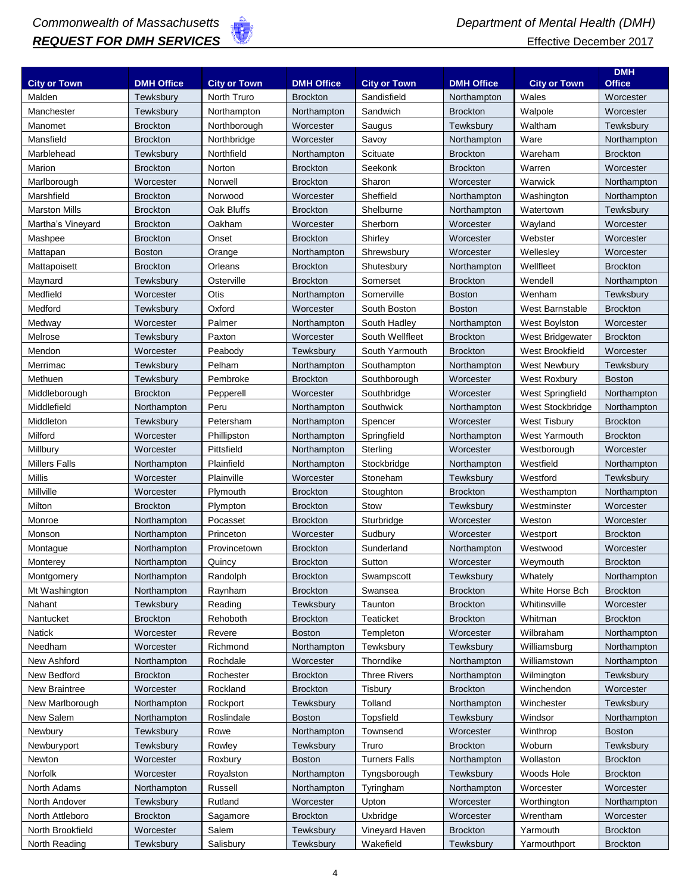

|                      |                   |                     |                   |                      |                   |                     | <b>DMH</b>      |
|----------------------|-------------------|---------------------|-------------------|----------------------|-------------------|---------------------|-----------------|
| <b>City or Town</b>  | <b>DMH Office</b> | <b>City or Town</b> | <b>DMH Office</b> | <b>City or Town</b>  | <b>DMH Office</b> | <b>City or Town</b> | <b>Office</b>   |
| Malden               | Tewksbury         | North Truro         | <b>Brockton</b>   | Sandisfield          | Northampton       | Wales               | Worcester       |
| Manchester           | Tewksbury         | Northampton         | Northampton       | Sandwich             | <b>Brockton</b>   | Walpole             | Worcester       |
| Manomet              | <b>Brockton</b>   | Northborough        | Worcester         | Saugus               | Tewksbury         | Waltham             | Tewksbury       |
| Mansfield            | <b>Brockton</b>   | Northbridge         | Worcester         | Savoy                | Northampton       | Ware                | Northampton     |
| Marblehead           | Tewksbury         | Northfield          | Northampton       | Scituate             | <b>Brockton</b>   | Wareham             | <b>Brockton</b> |
| Marion               | <b>Brockton</b>   | Norton              | <b>Brockton</b>   | Seekonk              | <b>Brockton</b>   | Warren              | Worcester       |
| Marlborough          | Worcester         | Norwell             | <b>Brockton</b>   | Sharon               | Worcester         | Warwick             | Northampton     |
| Marshfield           | <b>Brockton</b>   | Norwood             | Worcester         | Sheffield            | Northampton       | Washington          | Northampton     |
| <b>Marston Mills</b> | <b>Brockton</b>   | Oak Bluffs          | <b>Brockton</b>   | Shelburne            | Northampton       | Watertown           | Tewksbury       |
| Martha's Vineyard    | <b>Brockton</b>   | Oakham              | Worcester         | Sherborn             | Worcester         | Wayland             | Worcester       |
| Mashpee              | <b>Brockton</b>   | Onset               | <b>Brockton</b>   | Shirley              | Worcester         | Webster             | Worcester       |
| Mattapan             | <b>Boston</b>     | Orange              | Northampton       | Shrewsbury           | Worcester         | Wellesley           | Worcester       |
| Mattapoisett         | <b>Brockton</b>   | Orleans             | <b>Brockton</b>   | Shutesbury           | Northampton       | Wellfleet           | <b>Brockton</b> |
| Maynard              | Tewksbury         | Osterville          | <b>Brockton</b>   | Somerset             | <b>Brockton</b>   | Wendell             | Northampton     |
| Medfield             | Worcester         | Otis                | Northampton       | Somerville           | <b>Boston</b>     | Wenham              | Tewksbury       |
| Medford              | Tewksbury         | Oxford              | Worcester         | South Boston         | <b>Boston</b>     | West Barnstable     | <b>Brockton</b> |
| Medway               | Worcester         | Palmer              | Northampton       | South Hadley         | Northampton       | West Boylston       | Worcester       |
| Melrose              | Tewksbury         | Paxton              | Worcester         | South Wellfleet      | <b>Brockton</b>   | West Bridgewater    | <b>Brockton</b> |
| Mendon               | Worcester         | Peabody             | Tewksbury         | South Yarmouth       | <b>Brockton</b>   | West Brookfield     | Worcester       |
| Merrimac             | Tewksbury         | Pelham              | Northampton       | Southampton          | Northampton       | <b>West Newbury</b> | Tewksbury       |
| Methuen              | Tewksbury         | Pembroke            | <b>Brockton</b>   | Southborough         | Worcester         | West Roxbury        | <b>Boston</b>   |
| Middleborough        | <b>Brockton</b>   | Pepperell           | Worcester         | Southbridge          | Worcester         | West Springfield    | Northampton     |
| Middlefield          | Northampton       | Peru                | Northampton       | Southwick            | Northampton       | West Stockbridge    | Northampton     |
| Middleton            | Tewksbury         | Petersham           | Northampton       | Spencer              | Worcester         | West Tisbury        | <b>Brockton</b> |
| Milford              | Worcester         | Phillipston         | Northampton       | Springfield          | Northampton       | West Yarmouth       | <b>Brockton</b> |
| Millbury             | Worcester         | Pittsfield          | Northampton       | Sterling             | Worcester         | Westborough         | Worcester       |
| <b>Millers Falls</b> | Northampton       | Plainfield          | Northampton       | Stockbridge          | Northampton       | Westfield           | Northampton     |
| Millis               | Worcester         | Plainville          | Worcester         | Stoneham             | Tewksbury         | Westford            | Tewksbury       |
| Millville            | Worcester         | Plymouth            | <b>Brockton</b>   | Stoughton            | <b>Brockton</b>   | Westhampton         | Northampton     |
| Milton               | <b>Brockton</b>   | Plympton            | <b>Brockton</b>   | Stow                 | Tewksbury         | Westminster         | Worcester       |
| Monroe               | Northampton       | Pocasset            | <b>Brockton</b>   | Sturbridge           | Worcester         | Weston              | Worcester       |
| Monson               | Northampton       | Princeton           | Worcester         | Sudbury              | Worcester         | Westport            | <b>Brockton</b> |
| Montague             | Northampton       | Provincetown        | <b>Brockton</b>   | Sunderland           | Northampton       | Westwood            | Worcester       |
| Monterey             | Northampton       | Quincy              | <b>Brockton</b>   | Sutton               | Worcester         | Weymouth            | <b>Brockton</b> |
| Montgomery           | Northampton       | Randolph            | <b>Brockton</b>   | Swampscott           | Tewksbury         | Whately             | Northampton     |
| Mt Washington        | Northampton       | Raynham             | <b>Brockton</b>   | Swansea              | <b>Brockton</b>   | White Horse Bch     | <b>Brockton</b> |
| Nahant               | Tewksbury         | Reading             | Tewksbury         | Taunton              | <b>Brockton</b>   | Whitinsville        | Worcester       |
| Nantucket            | <b>Brockton</b>   | Rehoboth            | <b>Brockton</b>   | Teaticket            | <b>Brockton</b>   | Whitman             | <b>Brockton</b> |
| Natick               | Worcester         | Revere              | <b>Boston</b>     | Templeton            | Worcester         | Wilbraham           | Northampton     |
| Needham              | Worcester         | Richmond            | Northampton       | Tewksbury            | Tewksbury         | Williamsburg        | Northampton     |
| New Ashford          | Northampton       | Rochdale            | Worcester         | Thorndike            | Northampton       | Williamstown        | Northampton     |
| New Bedford          | <b>Brockton</b>   | Rochester           | <b>Brockton</b>   | <b>Three Rivers</b>  | Northampton       | Wilmington          | Tewksbury       |
| New Braintree        | Worcester         | Rockland            | <b>Brockton</b>   | Tisbury              | <b>Brockton</b>   | Winchendon          | Worcester       |
| New Marlborough      | Northampton       | Rockport            | Tewksbury         | Tolland              | Northampton       | Winchester          | Tewksbury       |
| New Salem            | Northampton       | Roslindale          | <b>Boston</b>     | Topsfield            | Tewksbury         | Windsor             | Northampton     |
| Newbury              | Tewksbury         | Rowe                | Northampton       | Townsend             | Worcester         | Winthrop            | <b>Boston</b>   |
| Newburyport          | Tewksbury         | Rowley              | Tewksbury         | Truro                | <b>Brockton</b>   | Woburn              | Tewksbury       |
| Newton               | Worcester         | Roxbury             | <b>Boston</b>     | <b>Turners Falls</b> | Northampton       | Wollaston           | <b>Brockton</b> |
| Norfolk              | Worcester         | Royalston           | Northampton       | Tyngsborough         | Tewksbury         | Woods Hole          | <b>Brockton</b> |
| North Adams          | Northampton       | Russell             | Northampton       | Tyringham            | Northampton       | Worcester           | Worcester       |
| North Andover        | Tewksbury         | Rutland             | Worcester         | Upton                | Worcester         | Worthington         | Northampton     |
| North Attleboro      | <b>Brockton</b>   | Sagamore            | <b>Brockton</b>   | Uxbridge             | Worcester         | Wrentham            | Worcester       |
| North Brookfield     | Worcester         | Salem               |                   |                      |                   | Yarmouth            | <b>Brockton</b> |
|                      |                   |                     | Tewksbury         | Vineyard Haven       | <b>Brockton</b>   |                     |                 |
| North Reading        | Tewksbury         | Salisbury           | Tewksbury         | Wakefield            | Tewksbury         | Yarmouthport        | <b>Brockton</b> |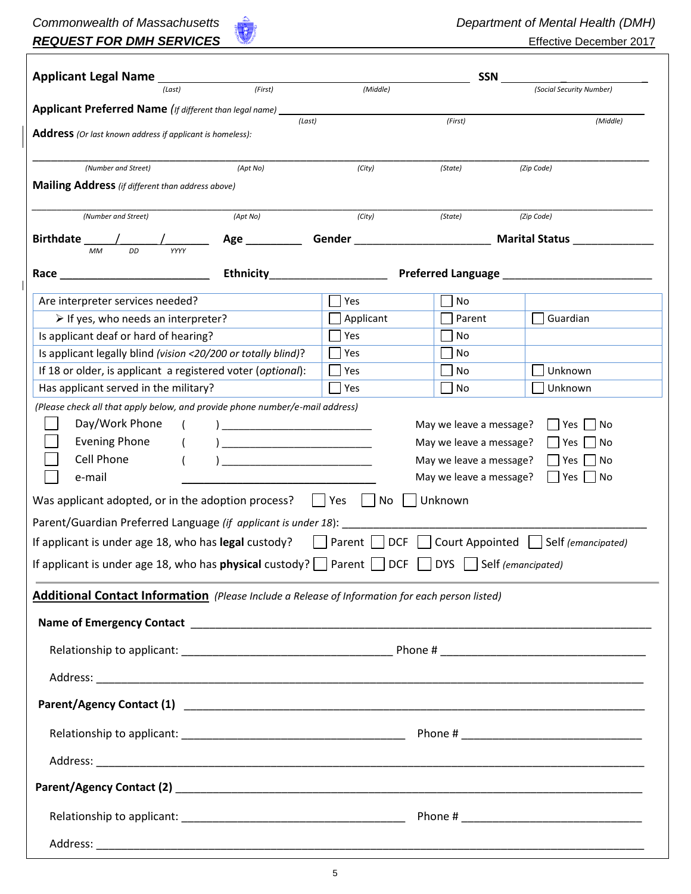# **Commonwealth of Massachusetts Commonwealth of Mental Health** *(DMH)* **REQUEST FOR DMH SERVICES Effective December 2017**

| <b>Applicant Legal Name</b> ____                                                                                                                                                                                                                                              |                   |                                                         | SSN                                              |                                                                                  |  |  |
|-------------------------------------------------------------------------------------------------------------------------------------------------------------------------------------------------------------------------------------------------------------------------------|-------------------|---------------------------------------------------------|--------------------------------------------------|----------------------------------------------------------------------------------|--|--|
| (Last)                                                                                                                                                                                                                                                                        | (First)           | (Middle)                                                |                                                  | (Social Security Number)                                                         |  |  |
| Applicant Preferred Name (If different than legal name) __                                                                                                                                                                                                                    |                   |                                                         |                                                  |                                                                                  |  |  |
| Address (Or last known address if applicant is homeless):                                                                                                                                                                                                                     | (Last)            |                                                         | (First)                                          | (Middle)                                                                         |  |  |
|                                                                                                                                                                                                                                                                               |                   |                                                         |                                                  |                                                                                  |  |  |
| (Number and Street)                                                                                                                                                                                                                                                           | (Apt No)          | (City)                                                  | (State)                                          | (Zip Code)                                                                       |  |  |
| Mailing Address (if different than address above)                                                                                                                                                                                                                             |                   |                                                         |                                                  |                                                                                  |  |  |
| (Number and Street)                                                                                                                                                                                                                                                           | (Apt No)          | (City)                                                  | (State)                                          | (Zip Code)                                                                       |  |  |
| Birthdate /                                                                                                                                                                                                                                                                   | Age _____________ |                                                         |                                                  | Gender ___________________________________ Marital Status ______________________ |  |  |
| <b>MM</b>                                                                                                                                                                                                                                                                     |                   |                                                         |                                                  |                                                                                  |  |  |
| Race <b>Race Race Race Race Race Race Race Race Race Race Race Race Race Race R</b>                                                                                                                                                                                           |                   |                                                         |                                                  |                                                                                  |  |  |
| Are interpreter services needed?                                                                                                                                                                                                                                              |                   | Yes                                                     | No                                               |                                                                                  |  |  |
| $\triangleright$ If yes, who needs an interpreter?                                                                                                                                                                                                                            |                   | Applicant                                               | Parent                                           | Guardian                                                                         |  |  |
| Is applicant deaf or hard of hearing?                                                                                                                                                                                                                                         |                   | Yes                                                     | No                                               |                                                                                  |  |  |
| Is applicant legally blind (vision <20/200 or totally blind)?                                                                                                                                                                                                                 |                   | Yes                                                     | No                                               |                                                                                  |  |  |
| If 18 or older, is applicant a registered voter (optional):                                                                                                                                                                                                                   |                   | Yes                                                     | No                                               | Unknown                                                                          |  |  |
| Has applicant served in the military?                                                                                                                                                                                                                                         |                   | Yes                                                     | No                                               | Unknown                                                                          |  |  |
| e-mail<br>Was applicant adopted, or in the adoption process?<br>Parent/Guardian Preferred Language (if applicant is under 18):<br>If applicant is under age 18, who has legal custody?<br>If applicant is under age 18, who has <b>physical</b> custody? $\Box$ Parent $\Box$ |                   | $ $   Yes<br>No<br>Parent  <br><b>DCF</b><br><b>DCF</b> | May we leave a message?<br>Unknown<br><b>DYS</b> | Yes<br>  No<br>Court Appointed     Self (emancipated)<br>Self (emancipated)      |  |  |
| Additional Contact Information (Please Include a Release of Information for each person listed)                                                                                                                                                                               |                   |                                                         |                                                  |                                                                                  |  |  |
|                                                                                                                                                                                                                                                                               |                   |                                                         |                                                  |                                                                                  |  |  |
|                                                                                                                                                                                                                                                                               |                   |                                                         |                                                  |                                                                                  |  |  |
|                                                                                                                                                                                                                                                                               |                   |                                                         |                                                  |                                                                                  |  |  |
|                                                                                                                                                                                                                                                                               |                   |                                                         |                                                  |                                                                                  |  |  |
|                                                                                                                                                                                                                                                                               |                   |                                                         |                                                  |                                                                                  |  |  |
|                                                                                                                                                                                                                                                                               |                   |                                                         |                                                  |                                                                                  |  |  |
|                                                                                                                                                                                                                                                                               |                   |                                                         |                                                  |                                                                                  |  |  |
|                                                                                                                                                                                                                                                                               |                   |                                                         |                                                  |                                                                                  |  |  |
|                                                                                                                                                                                                                                                                               |                   |                                                         |                                                  |                                                                                  |  |  |
|                                                                                                                                                                                                                                                                               |                   |                                                         |                                                  |                                                                                  |  |  |
|                                                                                                                                                                                                                                                                               |                   |                                                         |                                                  |                                                                                  |  |  |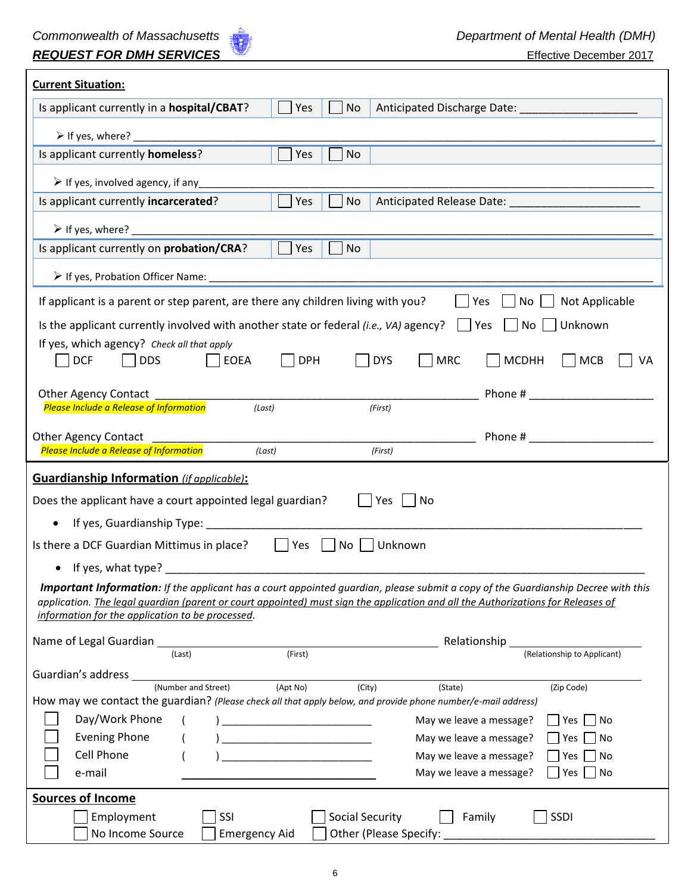

| <b>Current Situation:</b>                                                                                                                                                             |
|---------------------------------------------------------------------------------------------------------------------------------------------------------------------------------------|
| Is applicant currently in a hospital/CBAT?<br><b>No</b><br>Yes                                                                                                                        |
|                                                                                                                                                                                       |
| Yes<br>Is applicant currently homeless?<br><b>No</b>                                                                                                                                  |
| $\triangleright$ If yes, involved agency, if any                                                                                                                                      |
| Is applicant currently incarcerated?<br><b>No</b><br>$ $   Yes                                                                                                                        |
|                                                                                                                                                                                       |
| $\Box$ Yes<br>Is applicant currently on probation/CRA?<br><b>No</b>                                                                                                                   |
|                                                                                                                                                                                       |
| Not Applicable<br>If applicant is a parent or step parent, are there any children living with you?<br>  Yes<br>$\overline{\phantom{a}}$ No $\overline{\phantom{a}}$                   |
| Unknown<br>Is the applicant currently involved with another state or federal <i>(i.e., VA)</i> agency?<br>$ $   Yes<br>No                                                             |
| If yes, which agency? Check all that apply                                                                                                                                            |
| $\vert$ EOEA<br><b>DPH</b><br><b>DCF</b><br><b>DDS</b><br><b>DYS</b><br><b>MRC</b><br><b>MCDHH</b><br><b>MCB</b><br>VA                                                                |
| Other Agency Contact                                                                                                                                                                  |
| $\frac{1}{\sqrt{First}}$<br>(last)<br>Please Include a Release of Information                                                                                                         |
| <b>Other Agency Contact</b>                                                                                                                                                           |
| Please Include a Release of Information<br>(Last)<br>(First)                                                                                                                          |
|                                                                                                                                                                                       |
| <b>Guardianship Information</b> (if applicable):                                                                                                                                      |
| Does the applicant have a court appointed legal guardian?<br>Yes     No                                                                                                               |
| If yes, Guardianship Type: _________                                                                                                                                                  |
| Yes<br>Unknown<br>Is there a DCF Guardian Mittimus in place?<br>$\vert$ $\vert$ No                                                                                                    |
| If yes, what type?                                                                                                                                                                    |
| <b>Important Information:</b> If the applicant has a court appointed guardian, please submit a copy of the Guardianship Decree with this                                              |
| application. The legal quardian (parent or court appointed) must sign the application and all the Authorizations for Releases of<br>information for the application to be processed.  |
|                                                                                                                                                                                       |
| Relationship<br>(First)<br>(Relationship to Applicant)<br>(Last)                                                                                                                      |
| Guardian's address                                                                                                                                                                    |
| (Number and Street)<br>(Apt No)<br>(City)<br>(State)<br>(Zip Code)<br>How may we contact the guardian? (Please check all that apply below, and provide phone number/e-mail address)   |
| Day/Work Phone<br>May we leave a message?<br>Yes<br>No                                                                                                                                |
| <b>Evening Phone</b><br>May we leave a message?<br>No<br>Yes<br><u> 1989 - Johann Barn, mars ann an t-Amhain an t-Amhain an t-Amhain an t-Amhain an t-Amhain an t-Amhain an t-Amh</u> |
| <b>Cell Phone</b><br>May we leave a message?<br>No<br>Yes                                                                                                                             |
| e-mail<br>May we leave a message?<br>No<br>Yes                                                                                                                                        |
| <b>Sources of Income</b><br>SSI<br><b>Social Security</b><br>SSDI<br>Employment<br>Family                                                                                             |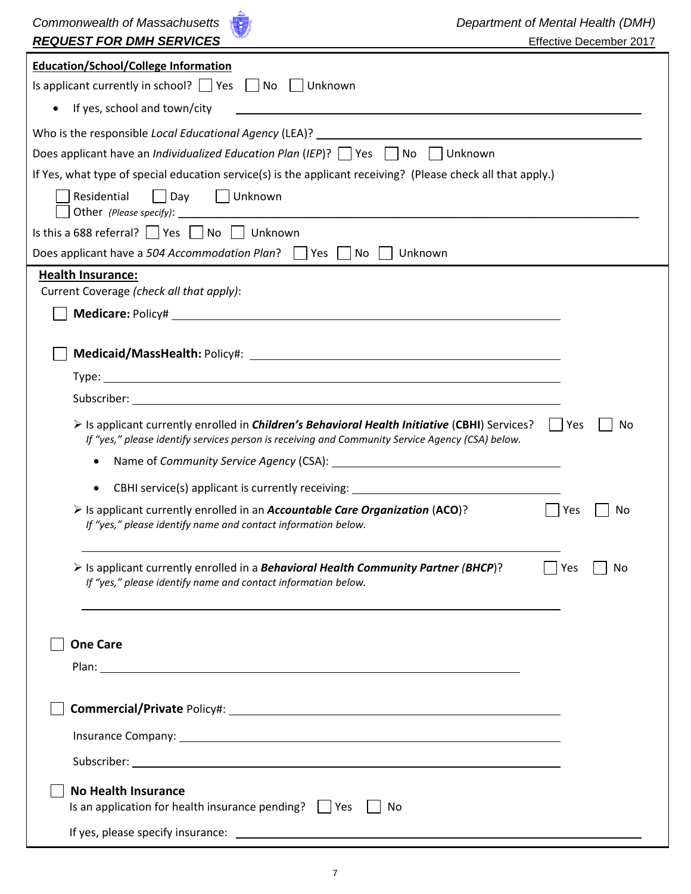| Commonwealth of Massachusetts<br><b>REQUEST FOR DMH SERVICES</b>                                                                                                                                                        | Department of Mental Health (DMH)<br>Effective December 2017 |
|-------------------------------------------------------------------------------------------------------------------------------------------------------------------------------------------------------------------------|--------------------------------------------------------------|
| <b>Education/School/College Information</b>                                                                                                                                                                             |                                                              |
| Is applicant currently in school? $\Box$ Yes $\Box$ No $\Box$ Unknown                                                                                                                                                   |                                                              |
| If yes, school and town/city<br>$\bullet$                                                                                                                                                                               |                                                              |
|                                                                                                                                                                                                                         |                                                              |
| Does applicant have an <i>Individualized Education Plan</i> (IEP)? $\Box$ Yes $\Box$ No $\Box$ Unknown                                                                                                                  |                                                              |
| If Yes, what type of special education service(s) is the applicant receiving? (Please check all that apply.)                                                                                                            |                                                              |
| Day   Unknown<br>Residential                                                                                                                                                                                            |                                                              |
| Is this a 688 referral? $\Box$ Yes $\Box$ No $\Box$ Unknown                                                                                                                                                             |                                                              |
| Does applicant have a 504 Accommodation Plan?   Yes   No<br>Unknown                                                                                                                                                     |                                                              |
| <b>Health Insurance:</b>                                                                                                                                                                                                |                                                              |
| Current Coverage (check all that apply):                                                                                                                                                                                |                                                              |
|                                                                                                                                                                                                                         |                                                              |
|                                                                                                                                                                                                                         |                                                              |
|                                                                                                                                                                                                                         |                                                              |
|                                                                                                                                                                                                                         |                                                              |
| $\triangleright$ Is applicant currently enrolled in <i>Children's Behavioral Health Initiative</i> (CBHI) Services?<br>If "yes," please identify services person is receiving and Community Service Agency (CSA) below. | <b>Yes</b><br>No<br>$\mathbf{1}$                             |
| ٠                                                                                                                                                                                                                       |                                                              |
| CBHI service(s) applicant is currently receiving: ______________________________                                                                                                                                        |                                                              |
| > Is applicant currently enrolled in an Accountable Care Organization (ACO)?<br>If "yes," please identify name and contact information below.                                                                           | Yes<br>No                                                    |
| $\triangleright$ Is applicant currently enrolled in a <b>Behavioral Health Community Partner (BHCP)</b> ?<br>If "yes," please identify name and contact information below.                                              | Yes<br>No                                                    |
| <b>One Care</b>                                                                                                                                                                                                         |                                                              |
|                                                                                                                                                                                                                         |                                                              |
|                                                                                                                                                                                                                         |                                                              |
|                                                                                                                                                                                                                         |                                                              |
|                                                                                                                                                                                                                         |                                                              |
|                                                                                                                                                                                                                         |                                                              |
| <b>No Health Insurance</b><br>Is an application for health insurance pending?   Yes<br>No                                                                                                                               |                                                              |
|                                                                                                                                                                                                                         |                                                              |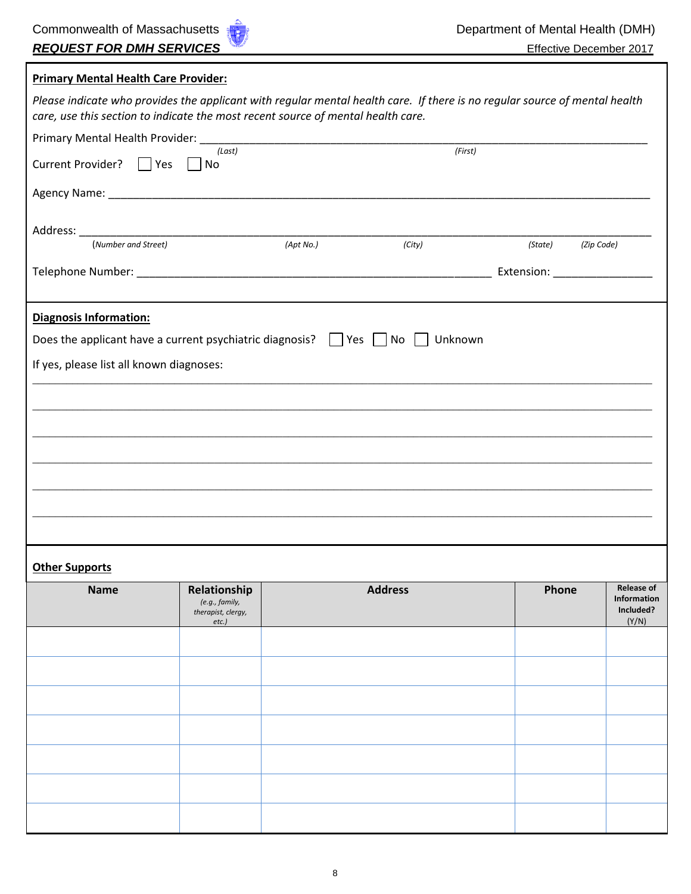| <b>Primary Mental Health Care Provider:</b>                                                                                |                                                                  |           |                      |         |                                                        |
|----------------------------------------------------------------------------------------------------------------------------|------------------------------------------------------------------|-----------|----------------------|---------|--------------------------------------------------------|
| Please indicate who provides the applicant with regular mental health care. If there is no regular source of mental health |                                                                  |           |                      |         |                                                        |
| care, use this section to indicate the most recent source of mental health care.                                           |                                                                  |           |                      |         |                                                        |
|                                                                                                                            | (Last)                                                           |           | $\overline{(First)}$ |         |                                                        |
| Current Provider?     Yes                                                                                                  | No                                                               |           |                      |         |                                                        |
|                                                                                                                            |                                                                  |           |                      |         |                                                        |
|                                                                                                                            |                                                                  |           |                      |         |                                                        |
| (Number and Street)                                                                                                        |                                                                  | (Apt No.) | (City)               | (State) | (Zip Code)                                             |
|                                                                                                                            |                                                                  |           |                      |         | Extension: ___________________                         |
| <b>Diagnosis Information:</b>                                                                                              |                                                                  |           |                      |         |                                                        |
| Does the applicant have a current psychiatric diagnosis? $\Box$ Yes $\Box$ No $\Box$ Unknown                               |                                                                  |           |                      |         |                                                        |
| If yes, please list all known diagnoses:                                                                                   |                                                                  |           |                      |         |                                                        |
|                                                                                                                            |                                                                  |           |                      |         |                                                        |
|                                                                                                                            |                                                                  |           |                      |         |                                                        |
|                                                                                                                            |                                                                  |           |                      |         |                                                        |
|                                                                                                                            |                                                                  |           |                      |         |                                                        |
|                                                                                                                            |                                                                  |           |                      |         |                                                        |
|                                                                                                                            |                                                                  |           |                      |         |                                                        |
|                                                                                                                            |                                                                  |           |                      |         |                                                        |
|                                                                                                                            |                                                                  |           |                      |         |                                                        |
| <b>Other Supports</b>                                                                                                      |                                                                  |           |                      |         |                                                        |
| <b>Name</b>                                                                                                                | Relationship<br>(e.g., family,<br>therapist, clergy,<br>$etc.$ ) |           | <b>Address</b>       | Phone   | <b>Release of</b><br>Information<br>Included?<br>(Y/N) |
|                                                                                                                            |                                                                  |           |                      |         |                                                        |
|                                                                                                                            |                                                                  |           |                      |         |                                                        |
|                                                                                                                            |                                                                  |           |                      |         |                                                        |
|                                                                                                                            |                                                                  |           |                      |         |                                                        |
|                                                                                                                            |                                                                  |           |                      |         |                                                        |
|                                                                                                                            |                                                                  |           |                      |         |                                                        |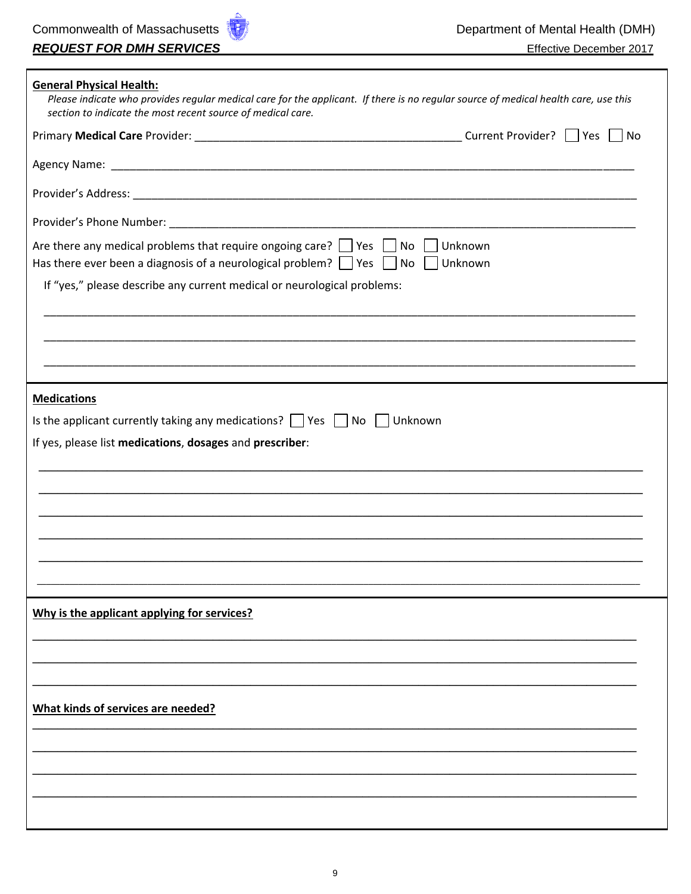Г

٦

| $\Box$ No<br>Are there any medical problems that require ongoing care? $\Box$ Yes $\Box$ No<br>Unknown<br>Has there ever been a diagnosis of a neurological problem? $\Box$ Yes $\Box$ No<br>Unknown |
|------------------------------------------------------------------------------------------------------------------------------------------------------------------------------------------------------|
|                                                                                                                                                                                                      |
|                                                                                                                                                                                                      |
|                                                                                                                                                                                                      |
|                                                                                                                                                                                                      |
|                                                                                                                                                                                                      |
| If "yes," please describe any current medical or neurological problems:                                                                                                                              |
|                                                                                                                                                                                                      |
|                                                                                                                                                                                                      |
|                                                                                                                                                                                                      |
| <b>Medications</b>                                                                                                                                                                                   |
| Is the applicant currently taking any medications? $\Box$ Yes $\Box$ No $\Box$ Unknown                                                                                                               |
| If yes, please list medications, dosages and prescriber:                                                                                                                                             |
|                                                                                                                                                                                                      |
|                                                                                                                                                                                                      |
|                                                                                                                                                                                                      |
|                                                                                                                                                                                                      |
|                                                                                                                                                                                                      |
|                                                                                                                                                                                                      |
|                                                                                                                                                                                                      |
| Why is the applicant applying for services?                                                                                                                                                          |
|                                                                                                                                                                                                      |
|                                                                                                                                                                                                      |
| What kinds of services are needed?                                                                                                                                                                   |
|                                                                                                                                                                                                      |
|                                                                                                                                                                                                      |
|                                                                                                                                                                                                      |
|                                                                                                                                                                                                      |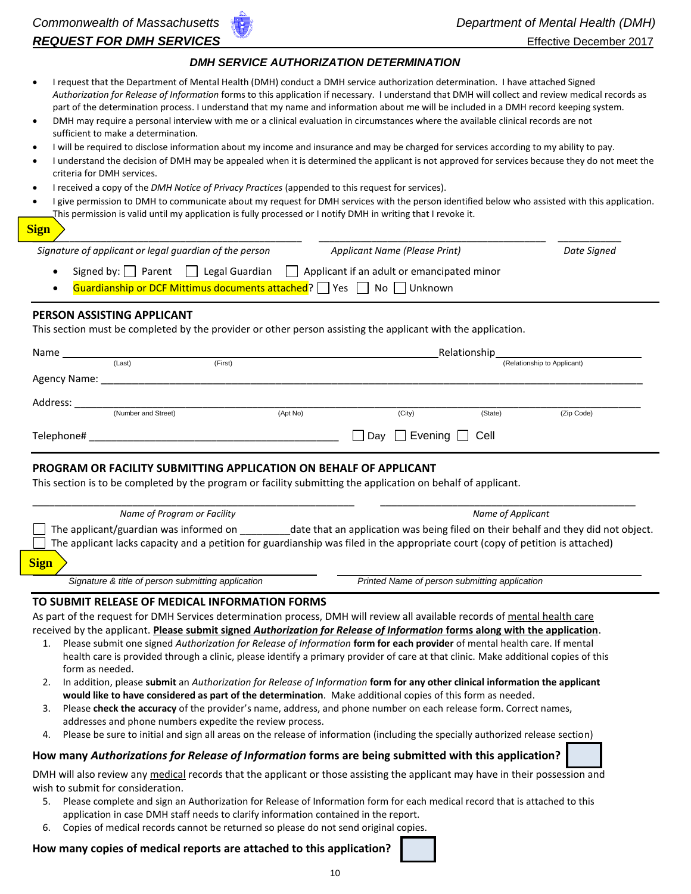#### *DMH SERVICE AUTHORIZATION DETERMINATION*

- I request that the Department of Mental Health (DMH) conduct a DMH service authorization determination. I have attached Signed *Authorization for Release of Information* forms to this application if necessary. I understand that DMH will collect and review medical records as part of the determination process. I understand that my name and information about me will be included in a DMH record keeping system.
- DMH may require a personal interview with me or a clinical evaluation in circumstances where the available clinical records are not sufficient to make a determination.
- I will be required to disclose information about my income and insurance and may be charged for services according to my ability to pay.
- I understand the decision of DMH may be appealed when it is determined the applicant is not approved for services because they do not meet the criteria for DMH services.
- I received a copy of the *DMH Notice of Privacy Practices* (appended to this request for services).
- I give permission to DMH to communicate about my request for DMH services with the person identified below who assisted with this application. This permission is valid until my application is fully processed or I notify DMH in writing that I revoke it.

| <b>CONTRACTOR</b><br><b>CONTRACTOR</b>                                                                                          | <b>Service Service</b>                                                                                         | <b>Service Service Service</b>                                                                                 |
|---------------------------------------------------------------------------------------------------------------------------------|----------------------------------------------------------------------------------------------------------------|----------------------------------------------------------------------------------------------------------------|
|                                                                                                                                 |                                                                                                                |                                                                                                                |
| v<br>٠<br><b>Contract Contract Contract Contract Contract Contract Contract Contract Contract Contract Contract Contract Co</b> | and the state of the state of the state of the state of the state of the state of the state of the state of th | and the state of the state of the state of the state of the state of the state of the state of the state of th |

| <u> 1911 - 1922 - 1923 - 1923 - 1923 - 1923 - 1923 - 1923 - 1923 - 1924 - 1924 - 1924 - 1924 - 1924 - 1924 - 19</u> |                                                                                              |                                            |             |
|---------------------------------------------------------------------------------------------------------------------|----------------------------------------------------------------------------------------------|--------------------------------------------|-------------|
|                                                                                                                     | Signature of applicant or legal guardian of the person                                       | Applicant Name (Please Print)              | Date Signed |
|                                                                                                                     | Signed by:     Parent     Legal Guardian                                                     | Applicant if an adult or emancipated minor |             |
|                                                                                                                     | <b>Guardianship or DCF Mittimus documents attached</b> ? $\Box$ Yes $\Box$ No $\Box$ Unknown |                                            |             |

#### **PERSON ASSISTING APPLICANT**

This section must be completed by the provider or other person assisting the applicant with the application.

| Name         |                     |         |          | Relationship                          |         |                             |  |
|--------------|---------------------|---------|----------|---------------------------------------|---------|-----------------------------|--|
|              | (Last)              | (First) |          |                                       |         | (Relationship to Applicant) |  |
| Agency Name: |                     |         |          |                                       |         |                             |  |
| Address:     |                     |         |          |                                       |         |                             |  |
|              | (Number and Street) |         | (Apt No) | (City)                                | (State) | (Zip Code)                  |  |
| Telephone#   |                     |         |          | $\Box$ Day $\Box$ Evening $\Box$ Cell |         |                             |  |

#### **PROGRAM OR FACILITY SUBMITTING APPLICATION ON BEHALF OF APPLICANT**

This section is to be completed by the program or facility submitting the application on behalf of applicant.

| Name of Program or Facility                        | Name of Applicant                                                                                                                                                                                                   |
|----------------------------------------------------|---------------------------------------------------------------------------------------------------------------------------------------------------------------------------------------------------------------------|
| The applicant/guardian was informed on             | date that an application was being filed on their behalf and they did not object.<br>The applicant lacks capacity and a petition for guardianship was filed in the appropriate court (copy of petition is attached) |
| <b>Sign</b>                                        |                                                                                                                                                                                                                     |
| Signature & title of person submitting application | Printed Name of person submitting application                                                                                                                                                                       |

#### **TO SUBMIT RELEASE OF MEDICAL INFORMATION FORMS**

As part of the request for DMH Services determination process, DMH will review all available records of mental health care received by the applicant. **Please submit signed** *Authorization for Release of Information* **forms along with the application**.

- 1. Please submit one signed *Authorization for Release of Information* **form for each provider** of mental health care. If mental health care is provided through a clinic, please identify a primary provider of care at that clinic. Make additional copies of this form as needed.
- 2. In addition, please **submit** an *Authorization for Release of Information* **form for any other clinical information the applicant would like to have considered as part of the determination**. Make additional copies of this form as needed.
- 3. Please **check the accuracy** of the provider's name, address, and phone number on each release form. Correct names, addresses and phone numbers expedite the review process.
- 4. Please be sure to initial and sign all areas on the release of information (including the specially authorized release section)

#### **How many** *Authorizations for Release of Information* **forms are being submitted with this application?**

DMH will also review any medical records that the applicant or those assisting the applicant may have in their possession and wish to submit for consideration.

- 5. Please complete and sign an Authorization for Release of Information form for each medical record that is attached to this application in case DMH staff needs to clarify information contained in the report.
- 6. Copies of medical records cannot be returned so please do not send original copies.

#### **How many copies of medical reports are attached to this application?**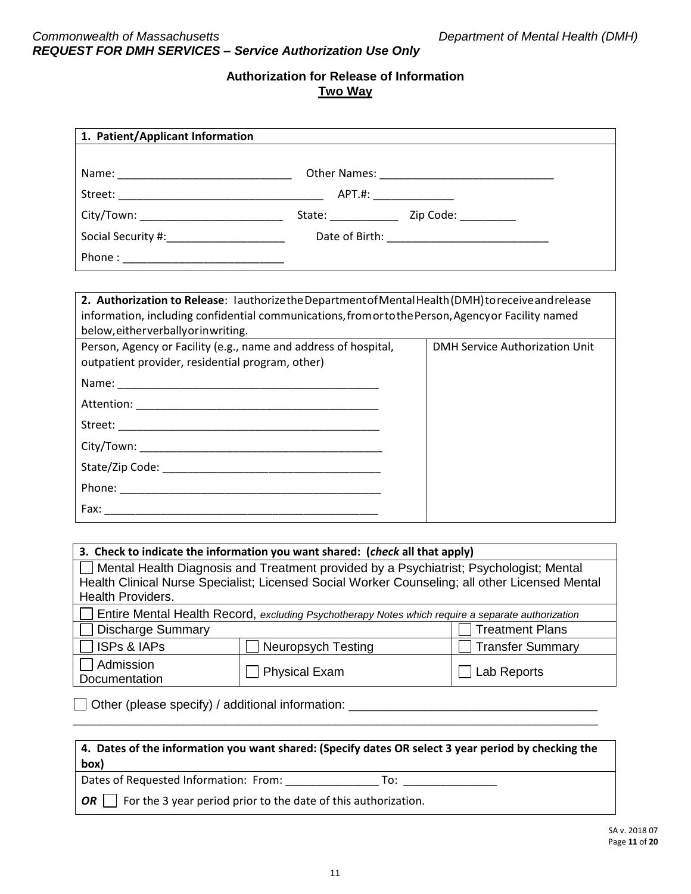| 1. Patient/Applicant Information                                                                                                                                                                                                                  |                                       |
|---------------------------------------------------------------------------------------------------------------------------------------------------------------------------------------------------------------------------------------------------|---------------------------------------|
|                                                                                                                                                                                                                                                   |                                       |
|                                                                                                                                                                                                                                                   |                                       |
| City/Town: _____________________________                                                                                                                                                                                                          |                                       |
| Social Security #:________________________                                                                                                                                                                                                        |                                       |
|                                                                                                                                                                                                                                                   |                                       |
|                                                                                                                                                                                                                                                   |                                       |
| 2. Authorization to Release: lauthorizethe Department of Mental Health (DMH) to receive and release<br>information, including confidential communications, from orto the Person, Agency or Facility named<br>below, either verbally or inwriting. |                                       |
| Person, Agency or Facility (e.g., name and address of hospital,<br>outpatient provider, residential program, other)                                                                                                                               | <b>DMH Service Authorization Unit</b> |
|                                                                                                                                                                                                                                                   |                                       |
|                                                                                                                                                                                                                                                   |                                       |
|                                                                                                                                                                                                                                                   |                                       |
|                                                                                                                                                                                                                                                   |                                       |
|                                                                                                                                                                                                                                                   |                                       |
|                                                                                                                                                                                                                                                   |                                       |
|                                                                                                                                                                                                                                                   |                                       |

| 3. Check to indicate the information you want shared: (check all that apply)                          |                                                                                                |                  |  |  |
|-------------------------------------------------------------------------------------------------------|------------------------------------------------------------------------------------------------|------------------|--|--|
| □ Mental Health Diagnosis and Treatment provided by a Psychiatrist; Psychologist; Mental              |                                                                                                |                  |  |  |
|                                                                                                       | Health Clinical Nurse Specialist; Licensed Social Worker Counseling; all other Licensed Mental |                  |  |  |
| <b>Health Providers.</b>                                                                              |                                                                                                |                  |  |  |
| <b>If Leaft in Septimary Septimary Septimary Septimary Septimary Septimary Separate</b> authorization |                                                                                                |                  |  |  |
| Discharge Summary<br><b>Treatment Plans</b>                                                           |                                                                                                |                  |  |  |
| $\Box$ ISPs & IAPs                                                                                    | <b>Neuropsych Testing</b>                                                                      | Transfer Summary |  |  |
| Admission<br>Documentation                                                                            | Physical Exam                                                                                  | Lab Reports      |  |  |

Other (please specify) / additional information: \_\_\_\_\_\_\_\_\_\_\_\_\_\_\_\_\_\_\_\_\_\_\_\_\_\_\_\_\_\_\_\_\_\_\_\_

| $\mid$ 4. Dates of the information you want shared: (Specify dates OR select 3 year period by checking the<br>box) |
|--------------------------------------------------------------------------------------------------------------------|
| Dates of Requested Information: From:<br>To:                                                                       |
| $\vert$   For the 3 year period prior to the date of this authorization.<br><b>OR</b>                              |

\_\_\_\_\_\_\_\_\_\_\_\_\_\_\_\_\_\_\_\_\_\_\_\_\_\_\_\_\_\_\_\_\_\_\_\_\_\_\_\_\_\_\_\_\_\_\_\_\_\_\_\_\_\_\_\_\_\_\_\_\_\_\_\_\_\_\_\_\_\_\_\_\_\_\_\_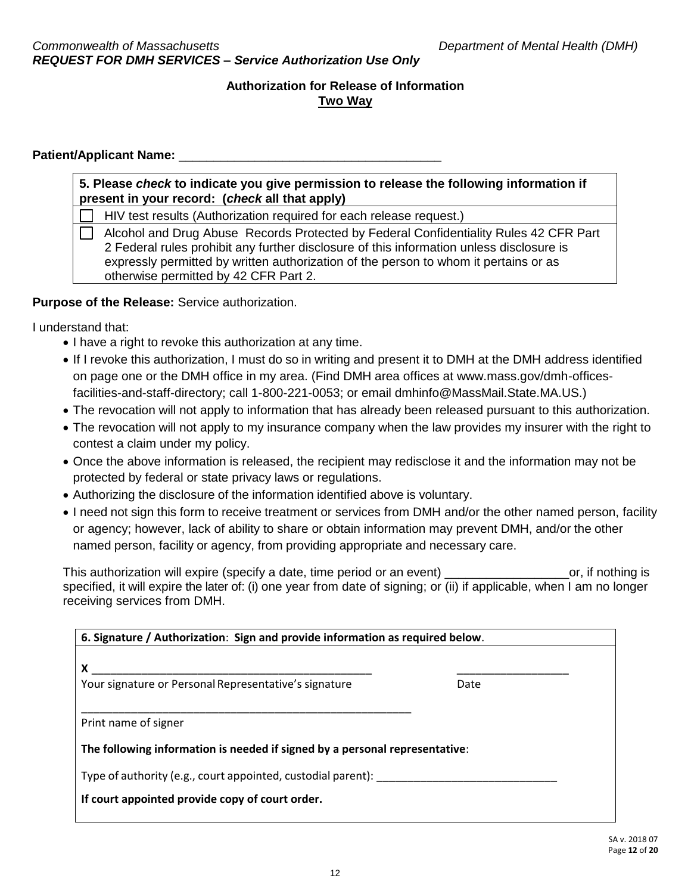#### Patient/Applicant Name:

**5. Please** *check* **to indicate you give permission to release the following information if present in your record: (***check* **all that apply)**

HIV test results (Authorization required for each release request.)

 Alcohol and Drug Abuse Records Protected by Federal Confidentiality Rules 42 CFR Part 2 Federal rules prohibit any further disclosure of this information unless disclosure is expressly permitted by written authorization of the person to whom it pertains or as otherwise permitted by 42 CFR Part 2.

**Purpose of the Release:** Service authorization.

I understand that:

- I have a right to revoke this authorization at any time.
- If I revoke this authorization, I must do so in writing and present it to DMH at the DMH address identified on page one or the DMH office in my area. (Find DMH area offices at www.mass.gov/dmh-officesfacilities-and-staff-directory; call 1-800-221-0053; or email dmhinfo@MassMail.State.MA.US.)
- The revocation will not apply to information that has already been released pursuant to this authorization.
- The revocation will not apply to my insurance company when the law provides my insurer with the right to contest a claim under my policy.
- Once the above information is released, the recipient may redisclose it and the information may not be protected by federal or state privacy laws or regulations.
- Authorizing the disclosure of the information identified above is voluntary.
- I need not sign this form to receive treatment or services from DMH and/or the other named person, facility or agency; however, lack of ability to share or obtain information may prevent DMH, and/or the other named person, facility or agency, from providing appropriate and necessary care.

This authorization will expire (specify a date, time period or an event) expressed or an expression or, if nothing is specified, it will expire the later of: (i) one year from date of signing; or (ii) if applicable, when I am no longer receiving services from DMH.

| X                                                                           |      |
|-----------------------------------------------------------------------------|------|
| Your signature or Personal Representative's signature                       | Date |
| Print name of signer                                                        |      |
| The following information is needed if signed by a personal representative: |      |
| Type of authority (e.g., court appointed, custodial parent):                |      |
| If court appointed provide copy of court order.                             |      |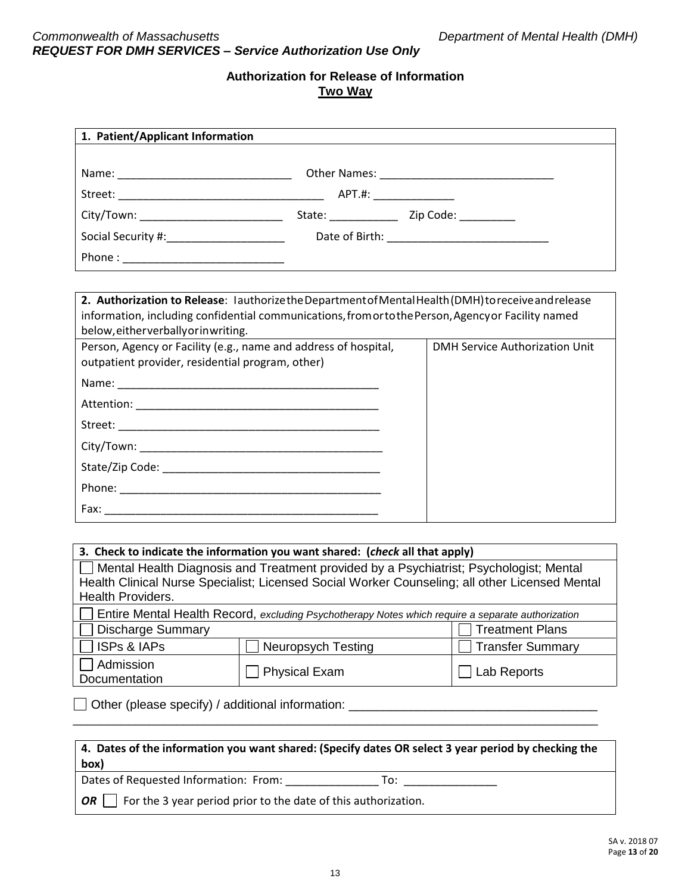| 1. Patient/Applicant Information                                                                                                                                                                                                                  |                                       |
|---------------------------------------------------------------------------------------------------------------------------------------------------------------------------------------------------------------------------------------------------|---------------------------------------|
|                                                                                                                                                                                                                                                   |                                       |
|                                                                                                                                                                                                                                                   |                                       |
|                                                                                                                                                                                                                                                   |                                       |
| City/Town: _____________________________                                                                                                                                                                                                          |                                       |
| Social Security #:________________________                                                                                                                                                                                                        |                                       |
|                                                                                                                                                                                                                                                   |                                       |
|                                                                                                                                                                                                                                                   |                                       |
| 2. Authorization to Release: lauthorizethe Department of Mental Health (DMH) to receive and release<br>information, including confidential communications, from orto the Person, Agency or Facility named<br>below, either verbally or inwriting. |                                       |
| Person, Agency or Facility (e.g., name and address of hospital,<br>outpatient provider, residential program, other)                                                                                                                               | <b>DMH Service Authorization Unit</b> |
|                                                                                                                                                                                                                                                   |                                       |
|                                                                                                                                                                                                                                                   |                                       |
|                                                                                                                                                                                                                                                   |                                       |
|                                                                                                                                                                                                                                                   |                                       |
|                                                                                                                                                                                                                                                   |                                       |
|                                                                                                                                                                                                                                                   |                                       |
|                                                                                                                                                                                                                                                   |                                       |
|                                                                                                                                                                                                                                                   |                                       |

| 3. Check to indicate the information you want shared: (check all that apply)                                                                                                             |                      |             |  |  |
|------------------------------------------------------------------------------------------------------------------------------------------------------------------------------------------|----------------------|-------------|--|--|
| Mental Health Diagnosis and Treatment provided by a Psychiatrist; Psychologist; Mental<br>Health Clinical Nurse Specialist; Licensed Social Worker Counseling; all other Licensed Mental |                      |             |  |  |
| <b>Health Providers.</b>                                                                                                                                                                 |                      |             |  |  |
|                                                                                                                                                                                          |                      |             |  |  |
| <b>If Leaf in the Mental Health Record</b> , excluding Psychotherapy Notes which require a separate authorization                                                                        |                      |             |  |  |
| Discharge Summary<br><b>Treatment Plans</b>                                                                                                                                              |                      |             |  |  |
| $\Box$ ISPs & IAPs<br>Transfer Summary<br><b>Neuropsych Testing</b>                                                                                                                      |                      |             |  |  |
| Admission<br>Documentation                                                                                                                                                               | <b>Physical Exam</b> | Lab Reports |  |  |

Other (please specify) / additional information: \_\_\_\_\_\_\_\_\_\_\_\_\_\_\_\_\_\_\_\_\_\_\_\_\_\_\_\_\_\_\_\_\_\_\_\_

| 4. Dates of the information you want shared: (Specify dates OR select 3 year period by checking the<br>box) |
|-------------------------------------------------------------------------------------------------------------|
| Dates of Requested Information: From:<br>To:                                                                |
| For the 3 year period prior to the date of this authorization.<br>OR                                        |

\_\_\_\_\_\_\_\_\_\_\_\_\_\_\_\_\_\_\_\_\_\_\_\_\_\_\_\_\_\_\_\_\_\_\_\_\_\_\_\_\_\_\_\_\_\_\_\_\_\_\_\_\_\_\_\_\_\_\_\_\_\_\_\_\_\_\_\_\_\_\_\_\_\_\_\_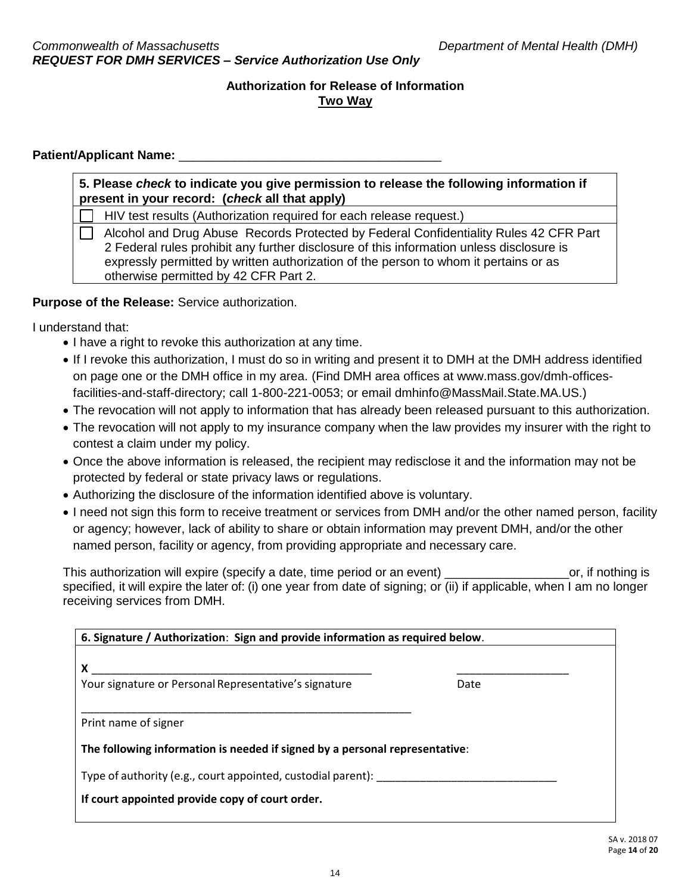#### Patient/Applicant Name:

**5. Please** *check* **to indicate you give permission to release the following information if present in your record: (***check* **all that apply)**

HIV test results (Authorization required for each release request.)

 Alcohol and Drug Abuse Records Protected by Federal Confidentiality Rules 42 CFR Part 2 Federal rules prohibit any further disclosure of this information unless disclosure is expressly permitted by written authorization of the person to whom it pertains or as otherwise permitted by 42 CFR Part 2.

**Purpose of the Release:** Service authorization.

I understand that:

- I have a right to revoke this authorization at any time.
- If I revoke this authorization, I must do so in writing and present it to DMH at the DMH address identified on page one or the DMH office in my area. (Find DMH area offices at www.mass.gov/dmh-officesfacilities-and-staff-directory; call 1-800-221-0053; or email dmhinfo@MassMail.State.MA.US.)
- The revocation will not apply to information that has already been released pursuant to this authorization.
- The revocation will not apply to my insurance company when the law provides my insurer with the right to contest a claim under my policy.
- Once the above information is released, the recipient may redisclose it and the information may not be protected by federal or state privacy laws or regulations.
- Authorizing the disclosure of the information identified above is voluntary.
- I need not sign this form to receive treatment or services from DMH and/or the other named person, facility or agency; however, lack of ability to share or obtain information may prevent DMH, and/or the other named person, facility or agency, from providing appropriate and necessary care.

This authorization will expire (specify a date, time period or an event) express that the or, if nothing is specified, it will expire the later of: (i) one year from date of signing; or (ii) if applicable, when I am no longer receiving services from DMH.

| X                                                                           |      |
|-----------------------------------------------------------------------------|------|
| Your signature or Personal Representative's signature                       | Date |
| Print name of signer                                                        |      |
| The following information is needed if signed by a personal representative: |      |
| Type of authority (e.g., court appointed, custodial parent):                |      |
|                                                                             |      |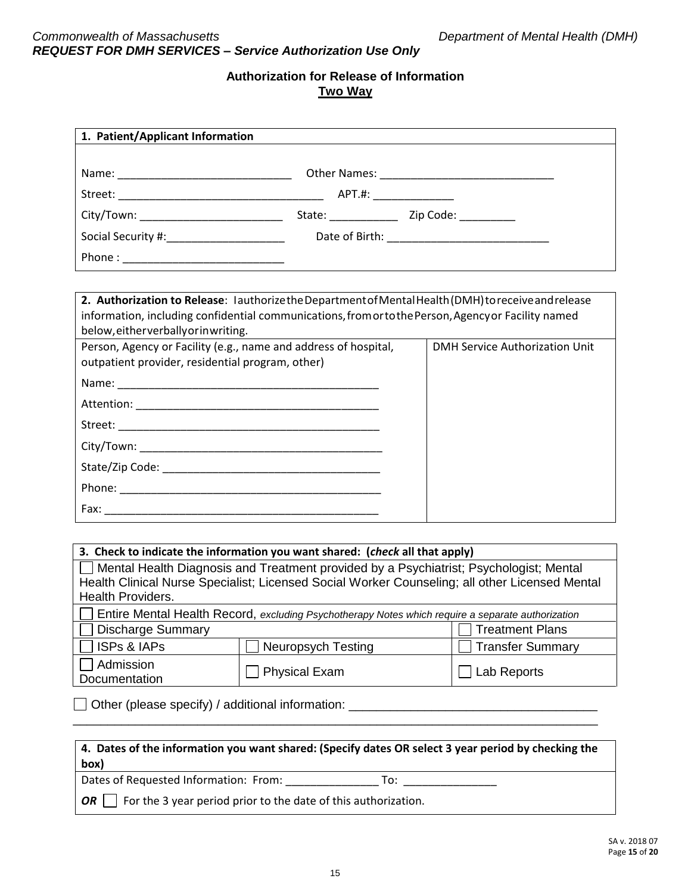| 1. Patient/Applicant Information                                                                                                                                                                                                                  |                                       |
|---------------------------------------------------------------------------------------------------------------------------------------------------------------------------------------------------------------------------------------------------|---------------------------------------|
|                                                                                                                                                                                                                                                   |                                       |
|                                                                                                                                                                                                                                                   |                                       |
|                                                                                                                                                                                                                                                   |                                       |
| City/Town: _____________________________                                                                                                                                                                                                          |                                       |
| Social Security #:_________________________                                                                                                                                                                                                       |                                       |
|                                                                                                                                                                                                                                                   |                                       |
|                                                                                                                                                                                                                                                   |                                       |
| 2. Authorization to Release: lauthorizethe Department of Mental Health (DMH) to receive and release<br>information, including confidential communications, from orto the Person, Agency or Facility named<br>below, either verbally or inwriting. |                                       |
| Person, Agency or Facility (e.g., name and address of hospital,<br>outpatient provider, residential program, other)                                                                                                                               | <b>DMH Service Authorization Unit</b> |
|                                                                                                                                                                                                                                                   |                                       |
|                                                                                                                                                                                                                                                   |                                       |
|                                                                                                                                                                                                                                                   |                                       |
|                                                                                                                                                                                                                                                   |                                       |
|                                                                                                                                                                                                                                                   |                                       |
|                                                                                                                                                                                                                                                   |                                       |
|                                                                                                                                                                                                                                                   |                                       |
|                                                                                                                                                                                                                                                   |                                       |

|                            | 3. Check to indicate the information you want shared: (check all that apply)                                      |                        |
|----------------------------|-------------------------------------------------------------------------------------------------------------------|------------------------|
|                            | Mental Health Diagnosis and Treatment provided by a Psychiatrist; Psychologist; Mental                            |                        |
|                            | Health Clinical Nurse Specialist; Licensed Social Worker Counseling; all other Licensed Mental                    |                        |
| <b>Health Providers.</b>   |                                                                                                                   |                        |
|                            | <b>If Leaf in the Mental Health Record</b> , excluding Psychotherapy Notes which require a separate authorization |                        |
| Discharge Summary          |                                                                                                                   | <b>Treatment Plans</b> |
| $\Box$ ISPs & IAPs         | <b>Neuropsych Testing</b>                                                                                         | Transfer Summary       |
| Admission<br>Documentation | <b>Physical Exam</b>                                                                                              | Lab Reports            |

Other (please specify) / additional information: \_\_\_\_\_\_\_\_\_\_\_\_\_\_\_\_\_\_\_\_\_\_\_\_\_\_\_\_\_\_\_\_\_\_\_\_

| 4. Dates of the information you want shared: (Specify dates OR select 3 year period by checking the<br>box) |
|-------------------------------------------------------------------------------------------------------------|
| Dates of Requested Information: From:<br>то:                                                                |
| For the 3 year period prior to the date of this authorization.<br><b>OR</b>                                 |

\_\_\_\_\_\_\_\_\_\_\_\_\_\_\_\_\_\_\_\_\_\_\_\_\_\_\_\_\_\_\_\_\_\_\_\_\_\_\_\_\_\_\_\_\_\_\_\_\_\_\_\_\_\_\_\_\_\_\_\_\_\_\_\_\_\_\_\_\_\_\_\_\_\_\_\_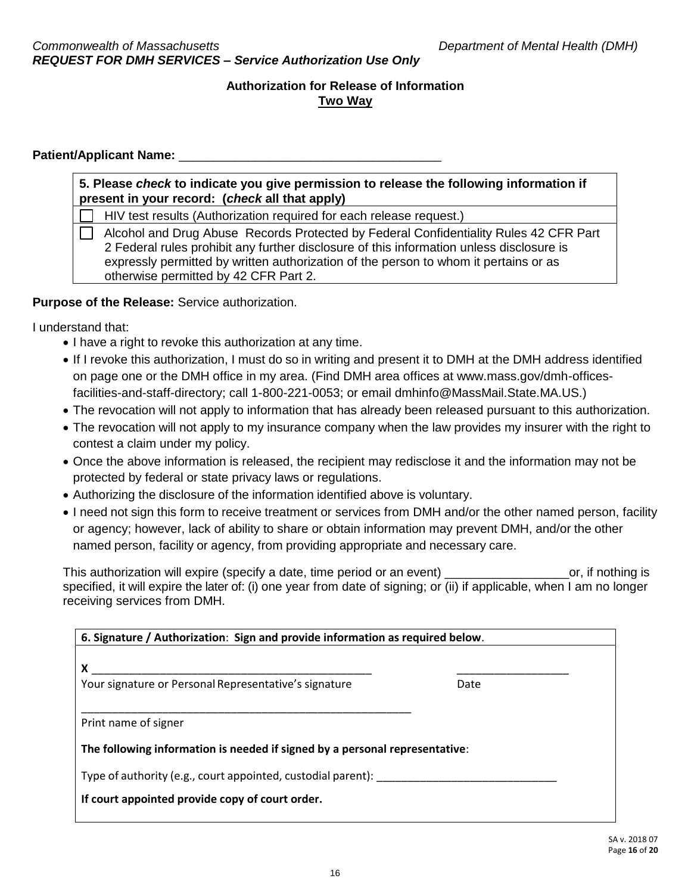#### Patient/Applicant Name:

**5. Please** *check* **to indicate you give permission to release the following information if present in your record: (***check* **all that apply)**

HIV test results (Authorization required for each release request.)

 Alcohol and Drug Abuse Records Protected by Federal Confidentiality Rules 42 CFR Part 2 Federal rules prohibit any further disclosure of this information unless disclosure is expressly permitted by written authorization of the person to whom it pertains or as otherwise permitted by 42 CFR Part 2.

**Purpose of the Release:** Service authorization.

I understand that:

- I have a right to revoke this authorization at any time.
- If I revoke this authorization, I must do so in writing and present it to DMH at the DMH address identified on page one or the DMH office in my area. (Find DMH area offices at www.mass.gov/dmh-officesfacilities-and-staff-directory; call 1-800-221-0053; or email dmhinfo@MassMail.State.MA.US.)
- The revocation will not apply to information that has already been released pursuant to this authorization.
- The revocation will not apply to my insurance company when the law provides my insurer with the right to contest a claim under my policy.
- Once the above information is released, the recipient may redisclose it and the information may not be protected by federal or state privacy laws or regulations.
- Authorizing the disclosure of the information identified above is voluntary.
- I need not sign this form to receive treatment or services from DMH and/or the other named person, facility or agency; however, lack of ability to share or obtain information may prevent DMH, and/or the other named person, facility or agency, from providing appropriate and necessary care.

This authorization will expire (specify a date, time period or an event) expresses that the or, if nothing is specified, it will expire the later of: (i) one year from date of signing; or (ii) if applicable, when I am no longer receiving services from DMH.

| X                                                                           |      |
|-----------------------------------------------------------------------------|------|
| Your signature or Personal Representative's signature                       | Date |
| Print name of signer                                                        |      |
| The following information is needed if signed by a personal representative: |      |
| Type of authority (e.g., court appointed, custodial parent):                |      |
|                                                                             |      |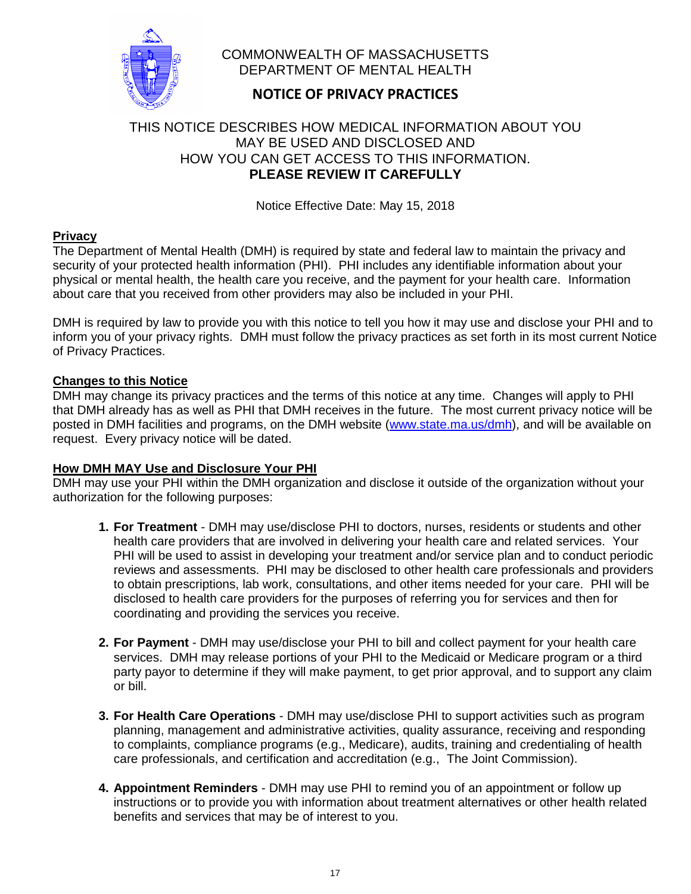

# COMMONWEALTH OF MASSACHUSETTS DEPARTMENT OF MENTAL HEALTH

# **NOTICE OF PRIVACY PRACTICES**

# THIS NOTICE DESCRIBES HOW MEDICAL INFORMATION ABOUT YOU MAY BE USED AND DISCLOSED AND HOW YOU CAN GET ACCESS TO THIS INFORMATION. **PLEASE REVIEW IT CAREFULLY**

Notice Effective Date: May 15, 2018

# **Privacy**

The Department of Mental Health (DMH) is required by state and federal law to maintain the privacy and security of your protected health information (PHI). PHI includes any identifiable information about your physical or mental health, the health care you receive, and the payment for your health care. Information about care that you received from other providers may also be included in your PHI.

DMH is required by law to provide you with this notice to tell you how it may use and disclose your PHI and to inform you of your privacy rights. DMH must follow the privacy practices as set forth in its most current Notice of Privacy Practices.

### **Changes to this Notice**

DMH may change its privacy practices and the terms of this notice at any time. Changes will apply to PHI that DMH already has as well as PHI that DMH receives in the future. The most current privacy notice will be posted in DMH facilities and programs, on the DMH website (www.state.ma.us/dmh), and will be available on request. Every privacy notice will be dated.

#### **How DMH MAY Use and Disclosure Your PHI**

DMH may use your PHI within the DMH organization and disclose it outside of the organization without your authorization for the following purposes:

- **1. For Treatment** DMH may use/disclose PHI to doctors, nurses, residents or students and other health care providers that are involved in delivering your health care and related services. Your PHI will be used to assist in developing your treatment and/or service plan and to conduct periodic reviews and assessments. PHI may be disclosed to other health care professionals and providers to obtain prescriptions, lab work, consultations, and other items needed for your care. PHI will be disclosed to health care providers for the purposes of referring you for services and then for coordinating and providing the services you receive.
- **2. For Payment**  DMH may use/disclose your PHI to bill and collect payment for your health care services. DMH may release portions of your PHI to the Medicaid or Medicare program or a third party payor to determine if they will make payment, to get prior approval, and to support any claim or bill.
- **3. For Health Care Operations** DMH may use/disclose PHI to support activities such as program planning, management and administrative activities, quality assurance, receiving and responding to complaints, compliance programs (e.g., Medicare), audits, training and credentialing of health care professionals, and certification and accreditation (e.g., The Joint Commission).
- **4. Appointment Reminders**  DMH may use PHI to remind you of an appointment or follow up instructions or to provide you with information about treatment alternatives or other health related benefits and services that may be of interest to you.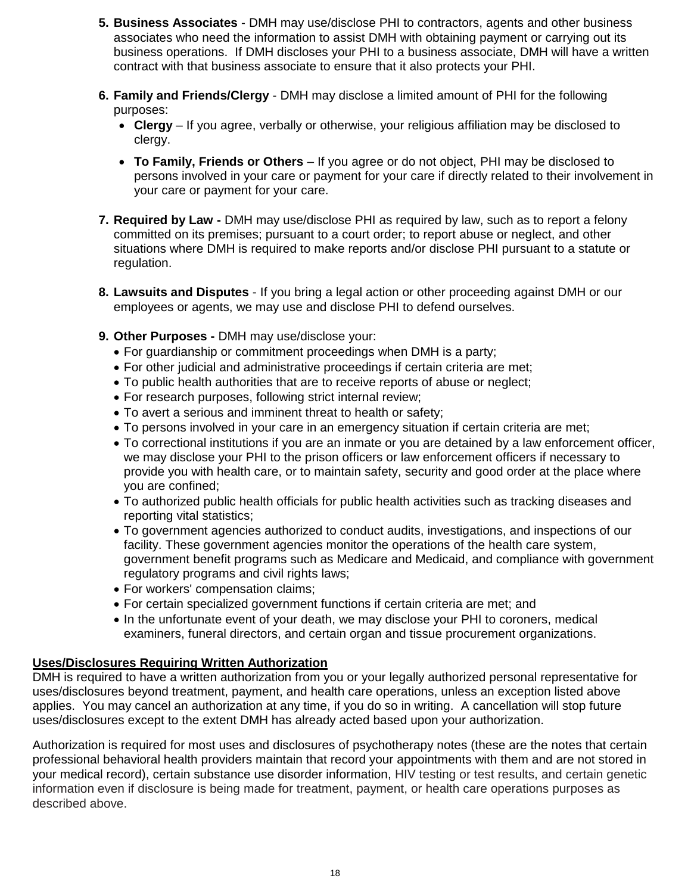- **5. Business Associates**  DMH may use/disclose PHI to contractors, agents and other business associates who need the information to assist DMH with obtaining payment or carrying out its business operations. If DMH discloses your PHI to a business associate, DMH will have a written contract with that business associate to ensure that it also protects your PHI.
- **6. Family and Friends/Clergy** DMH may disclose a limited amount of PHI for the following purposes:
	- **Clergy** If you agree, verbally or otherwise, your religious affiliation may be disclosed to clergy.
	- **To Family, Friends or Others** If you agree or do not object, PHI may be disclosed to persons involved in your care or payment for your care if directly related to their involvement in your care or payment for your care.
- **7. Required by Law -** DMH may use/disclose PHI as required by law, such as to report a felony committed on its premises; pursuant to a court order; to report abuse or neglect, and other situations where DMH is required to make reports and/or disclose PHI pursuant to a statute or regulation.
- **8. Lawsuits and Disputes**  If you bring a legal action or other proceeding against DMH or our employees or agents, we may use and disclose PHI to defend ourselves.
- **9. Other Purposes -** DMH may use/disclose your:
	- For guardianship or commitment proceedings when DMH is a party;
	- For other judicial and administrative proceedings if certain criteria are met;
	- To public health authorities that are to receive reports of abuse or neglect;
	- For research purposes, following strict internal review;
	- To avert a serious and imminent threat to health or safety;
	- To persons involved in your care in an emergency situation if certain criteria are met;
	- To correctional institutions if you are an inmate or you are detained by a law enforcement officer, we may disclose your PHI to the prison officers or law enforcement officers if necessary to provide you with health care, or to maintain safety, security and good order at the place where you are confined;
	- To authorized public health officials for public health activities such as tracking diseases and reporting vital statistics;
	- To government agencies authorized to conduct audits, investigations, and inspections of our facility. These government agencies monitor the operations of the health care system, government benefit programs such as Medicare and Medicaid, and compliance with government regulatory programs and civil rights laws;
	- For workers' compensation claims;
	- For certain specialized government functions if certain criteria are met; and
	- In the unfortunate event of your death, we may disclose your PHI to coroners, medical examiners, funeral directors, and certain organ and tissue procurement organizations.

# **Uses/Disclosures Requiring Written Authorization**

DMH is required to have a written authorization from you or your legally authorized personal representative for uses/disclosures beyond treatment, payment, and health care operations, unless an exception listed above applies. You may cancel an authorization at any time, if you do so in writing. A cancellation will stop future uses/disclosures except to the extent DMH has already acted based upon your authorization.

Authorization is required for most uses and disclosures of psychotherapy notes (these are the notes that certain professional behavioral health providers maintain that record your appointments with them and are not stored in your medical record), certain substance use disorder information, HIV testing or test results, and certain genetic information even if disclosure is being made for treatment, payment, or health care operations purposes as described above.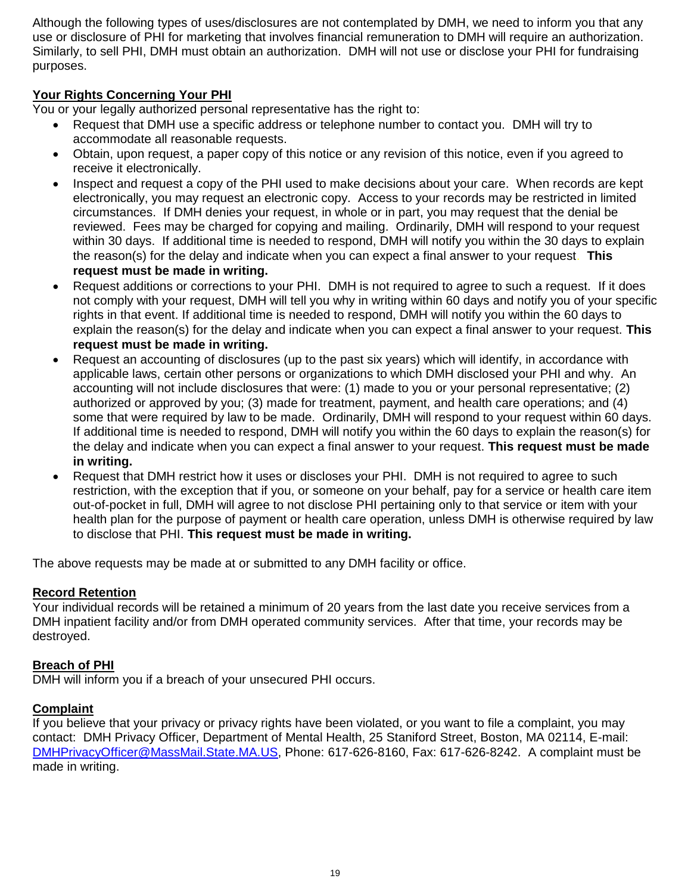Although the following types of uses/disclosures are not contemplated by DMH, we need to inform you that any use or disclosure of PHI for marketing that involves financial remuneration to DMH will require an authorization. Similarly, to sell PHI, DMH must obtain an authorization. DMH will not use or disclose your PHI for fundraising purposes.

# **Your Rights Concerning Your PHI**

You or your legally authorized personal representative has the right to:

- Request that DMH use a specific address or telephone number to contact you. DMH will try to accommodate all reasonable requests.
- Obtain, upon request, a paper copy of this notice or any revision of this notice, even if you agreed to receive it electronically.
- Inspect and request a copy of the PHI used to make decisions about your care. When records are kept electronically, you may request an electronic copy. Access to your records may be restricted in limited circumstances. If DMH denies your request, in whole or in part, you may request that the denial be reviewed. Fees may be charged for copying and mailing. Ordinarily, DMH will respond to your request within 30 days. If additional time is needed to respond, DMH will notify you within the 30 days to explain the reason(s) for the delay and indicate when you can expect a final answer to your request. **This request must be made in writing.**
- Request additions or corrections to your PHI. DMH is not required to agree to such a request. If it does not comply with your request, DMH will tell you why in writing within 60 days and notify you of your specific rights in that event. If additional time is needed to respond, DMH will notify you within the 60 days to explain the reason(s) for the delay and indicate when you can expect a final answer to your request. **This request must be made in writing.**
- Request an accounting of disclosures (up to the past six years) which will identify, in accordance with applicable laws, certain other persons or organizations to which DMH disclosed your PHI and why. An accounting will not include disclosures that were: (1) made to you or your personal representative; (2) authorized or approved by you; (3) made for treatment, payment, and health care operations; and (4) some that were required by law to be made. Ordinarily, DMH will respond to your request within 60 days. If additional time is needed to respond, DMH will notify you within the 60 days to explain the reason(s) for the delay and indicate when you can expect a final answer to your request. **This request must be made in writing.**
- Request that DMH restrict how it uses or discloses your PHI. DMH is not required to agree to such restriction, with the exception that if you, or someone on your behalf, pay for a service or health care item out-of-pocket in full, DMH will agree to not disclose PHI pertaining only to that service or item with your health plan for the purpose of payment or health care operation, unless DMH is otherwise required by law to disclose that PHI. **This request must be made in writing.**

The above requests may be made at or submitted to any DMH facility or office.

#### **Record Retention**

Your individual records will be retained a minimum of 20 years from the last date you receive services from a DMH inpatient facility and/or from DMH operated community services. After that time, your records may be destroyed.

#### **Breach of PHI**

DMH will inform you if a breach of your unsecured PHI occurs.

#### **Complaint**

If you believe that your privacy or privacy rights have been violated, or you want to file a complaint, you may contact: DMH Privacy Officer, Department of Mental Health, 25 Staniford Street, Boston, MA 02114, E-mail: DMHPrivacyOfficer@MassMail.State.MA.US, Phone: 617-626-8160, Fax: 617-626-8242. A complaint must be made in writing.